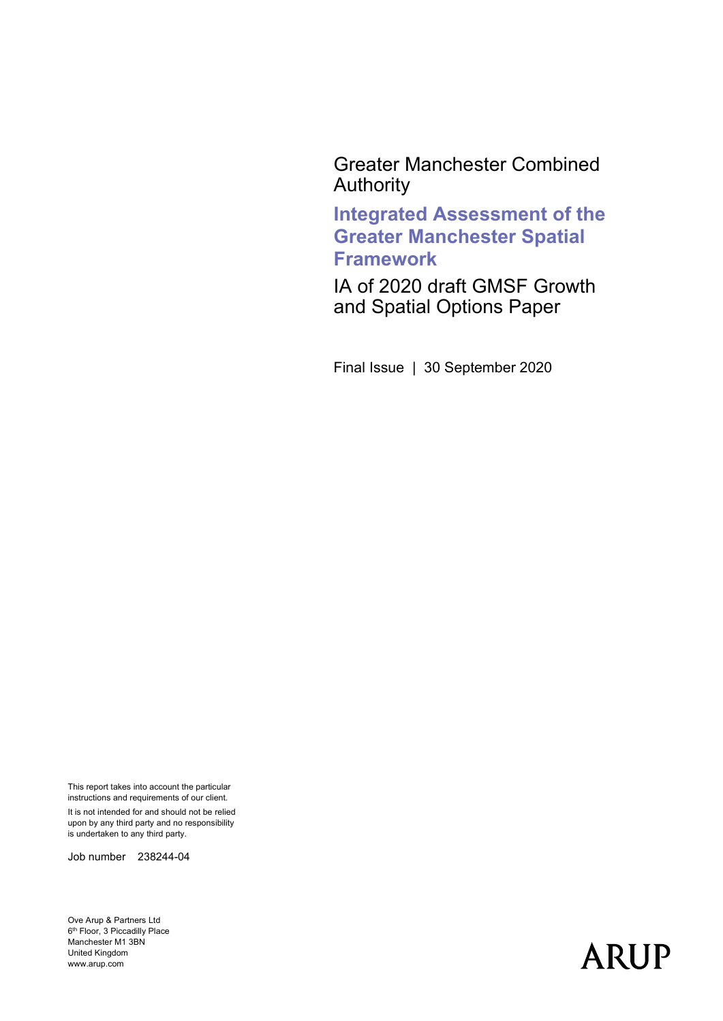Greater Manchester Combined Authority

**Integrated Assessment of the Greater Manchester Spatial Framework**

IA of 2020 draft GMSF Growth and Spatial Options Paper

Final Issue | 30 September 2020

This report takes into account the particular instructions and requirements of our client. It is not intended for and should not be relied

upon by any third party and no responsibility is undertaken to any third party.

Job number 238244-04

Ove Arup & Partners Ltd  $6^{\text{th}}$  Floor, 3 Piccadilly Place Manchester M1 3BN United Kingdom www.arup.com

# **ARUP**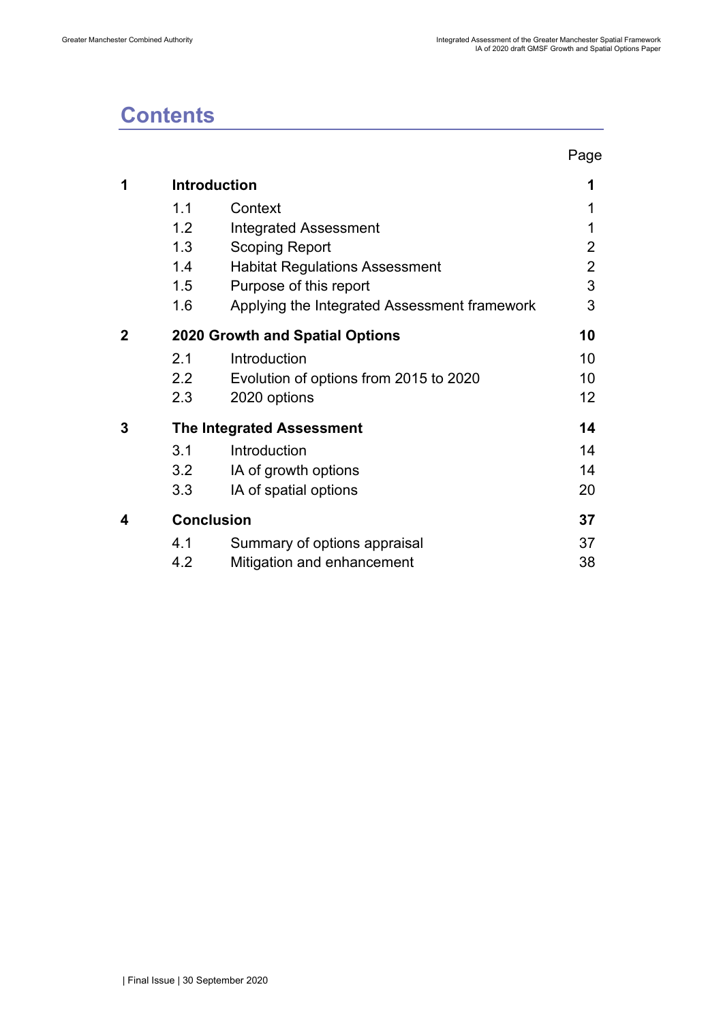# **Contents**

|   |                   |                                              | Page           |
|---|-------------------|----------------------------------------------|----------------|
| 1 |                   | <b>Introduction</b>                          | 1              |
|   | 1.1               | Context                                      |                |
|   | 1.2               | <b>Integrated Assessment</b>                 | 1              |
|   | 1.3               | <b>Scoping Report</b>                        | 2              |
|   | 1.4               | <b>Habitat Regulations Assessment</b>        | $\overline{2}$ |
|   | 1.5               | Purpose of this report                       | 3              |
|   | 1.6               | Applying the Integrated Assessment framework | 3              |
| 2 |                   | <b>2020 Growth and Spatial Options</b>       | 10             |
|   | 2.1               | Introduction                                 | 10             |
|   | 2.2               | Evolution of options from 2015 to 2020       | 10             |
|   | 2.3               | 2020 options                                 | 12             |
| 3 |                   | <b>The Integrated Assessment</b>             | 14             |
|   | 3.1               | Introduction                                 | 14             |
|   | 3.2               | IA of growth options                         | 14             |
|   | 3.3               | IA of spatial options                        | 20             |
| 4 | <b>Conclusion</b> |                                              | 37             |
|   | 4.1               | Summary of options appraisal                 | 37             |
|   | 4.2               | Mitigation and enhancement                   | 38             |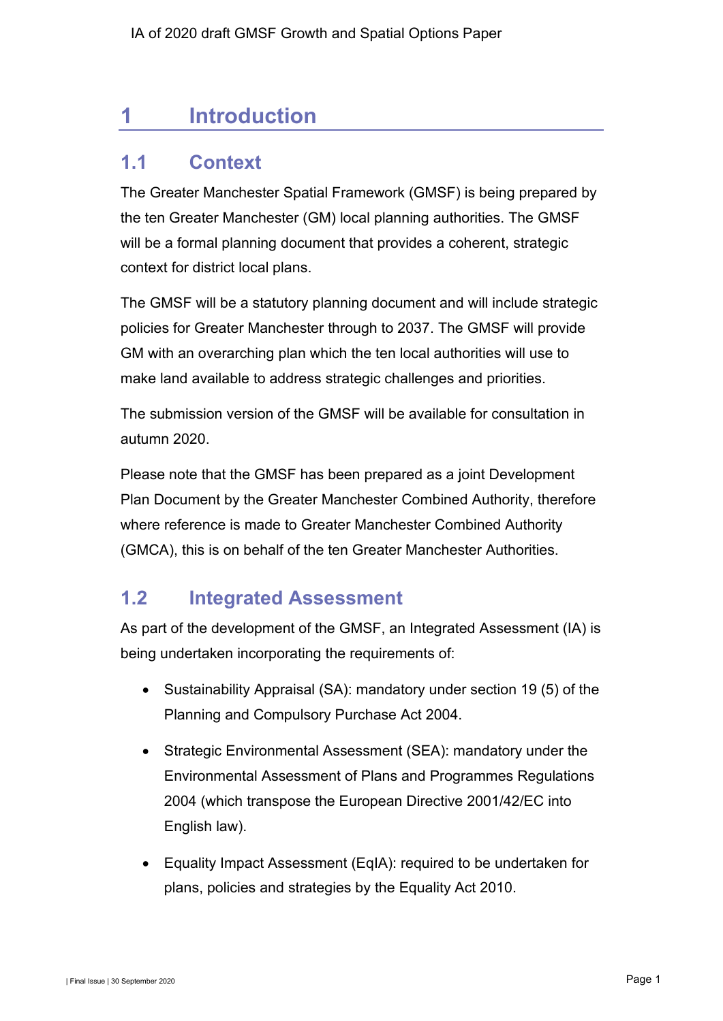# <span id="page-2-0"></span>**1 Introduction**

# <span id="page-2-1"></span>**1.1 Context**

The Greater Manchester Spatial Framework (GMSF) is being prepared by the ten Greater Manchester (GM) local planning authorities. The GMSF will be a formal planning document that provides a coherent, strategic context for district local plans.

The GMSF will be a statutory planning document and will include strategic policies for Greater Manchester through to 2037. The GMSF will provide GM with an overarching plan which the ten local authorities will use to make land available to address strategic challenges and priorities.

The submission version of the GMSF will be available for consultation in autumn 2020.

Please note that the GMSF has been prepared as a joint Development Plan Document by the Greater Manchester Combined Authority, therefore where reference is made to Greater Manchester Combined Authority (GMCA), this is on behalf of the ten Greater Manchester Authorities.

# <span id="page-2-2"></span>**1.2 Integrated Assessment**

As part of the development of the GMSF, an Integrated Assessment (IA) is being undertaken incorporating the requirements of:

- Sustainability Appraisal (SA): mandatory under section 19 (5) of the Planning and Compulsory Purchase Act 2004.
- Strategic Environmental Assessment (SEA): mandatory under the Environmental Assessment of Plans and Programmes Regulations 2004 (which transpose the European Directive 2001/42/EC into English law).
- Equality Impact Assessment (EqIA): required to be undertaken for plans, policies and strategies by the Equality Act 2010.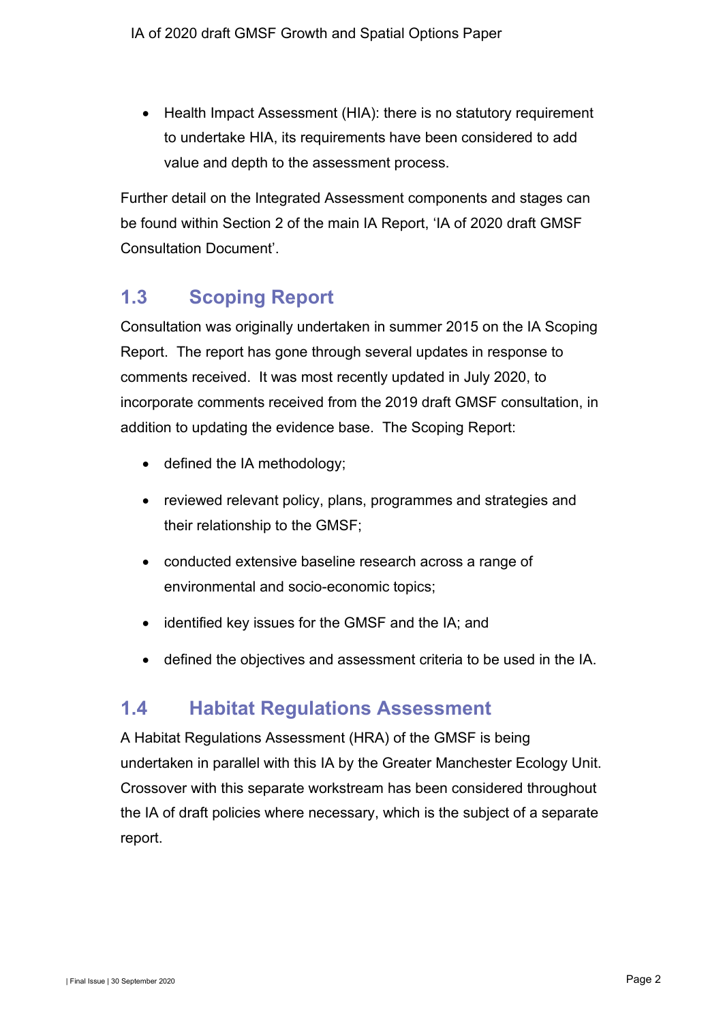• Health Impact Assessment (HIA): there is no statutory requirement to undertake HIA, its requirements have been considered to add value and depth to the assessment process.

Further detail on the Integrated Assessment components and stages can be found within Section 2 of the main IA Report, 'IA of 2020 draft GMSF Consultation Document'.

# <span id="page-3-0"></span>**1.3 Scoping Report**

Consultation was originally undertaken in summer 2015 on the IA Scoping Report. The report has gone through several updates in response to comments received. It was most recently updated in July 2020, to incorporate comments received from the 2019 draft GMSF consultation, in addition to updating the evidence base. The Scoping Report:

- defined the IA methodology;
- reviewed relevant policy, plans, programmes and strategies and their relationship to the GMSF;
- conducted extensive baseline research across a range of environmental and socio-economic topics;
- identified key issues for the GMSF and the IA; and
- defined the objectives and assessment criteria to be used in the IA.

# <span id="page-3-1"></span>**1.4 Habitat Regulations Assessment**

A Habitat Regulations Assessment (HRA) of the GMSF is being undertaken in parallel with this IA by the Greater Manchester Ecology Unit. Crossover with this separate workstream has been considered throughout the IA of draft policies where necessary, which is the subject of a separate report.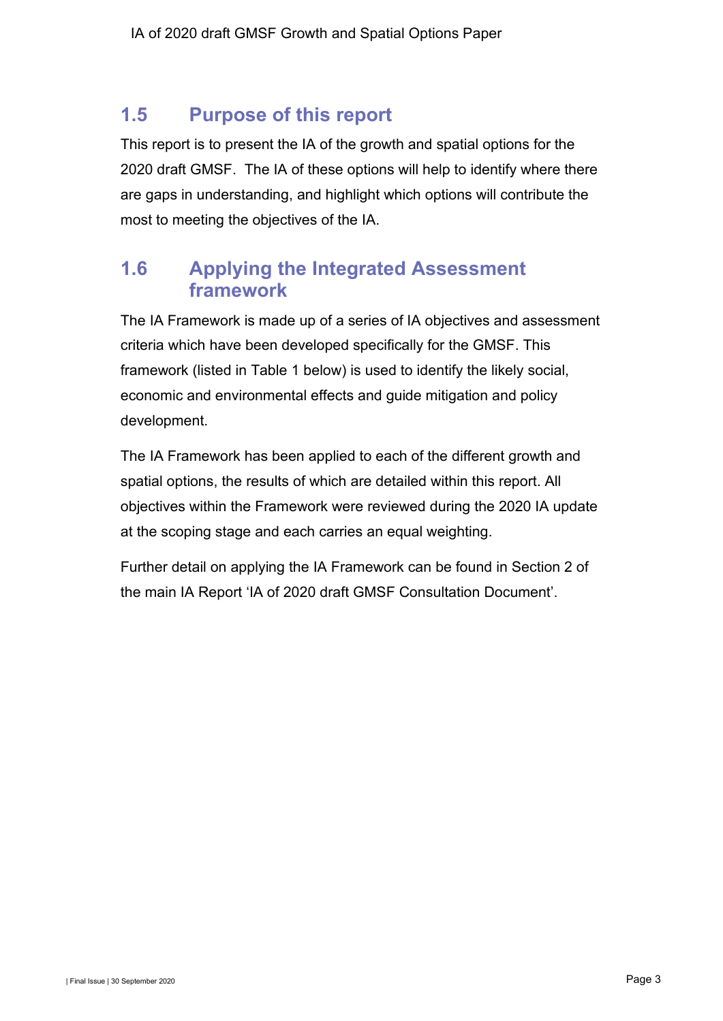# <span id="page-4-0"></span>**1.5 Purpose of this report**

This report is to present the IA of the growth and spatial options for the 2020 draft GMSF. The IA of these options will help to identify where there are gaps in understanding, and highlight which options will contribute the most to meeting the objectives of the IA.

# <span id="page-4-1"></span>**1.6 Applying the Integrated Assessment framework**

The IA Framework is made up of a series of IA objectives and assessment criteria which have been developed specifically for the GMSF. This framework (listed in [Table 1](#page-4-2) below) is used to identify the likely social, economic and environmental effects and guide mitigation and policy development.

The IA Framework has been applied to each of the different growth and spatial options, the results of which are detailed within this report. All objectives within the Framework were reviewed during the 2020 IA update at the scoping stage and each carries an equal weighting.

<span id="page-4-2"></span>Further detail on applying the IA Framework can be found in Section 2 of the main IA Report 'IA of 2020 draft GMSF Consultation Document'.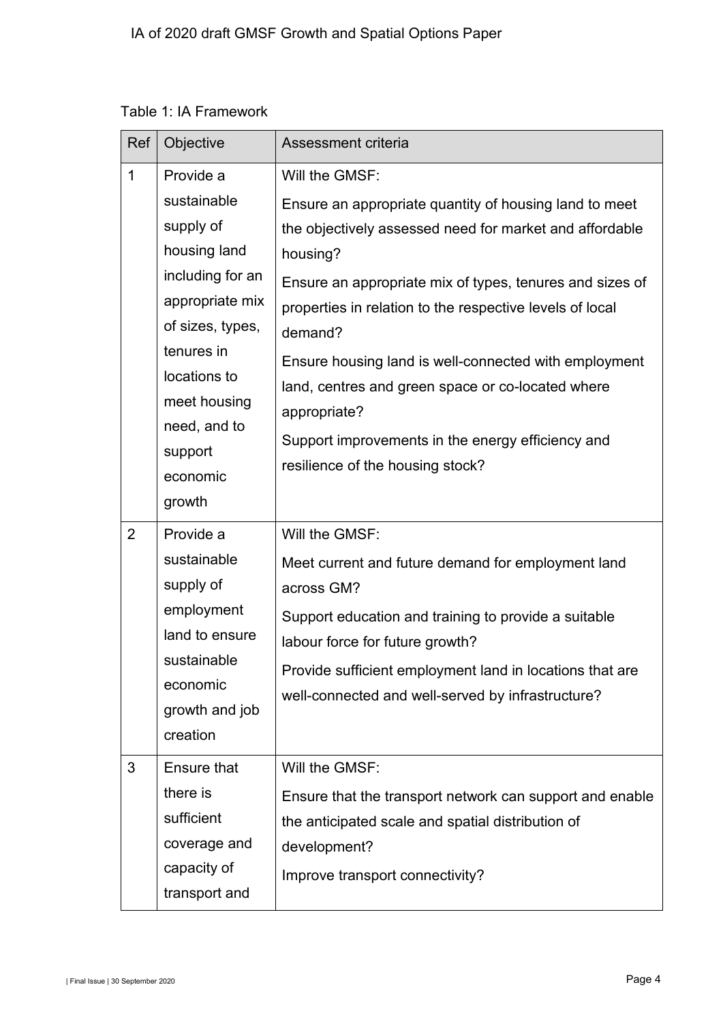|  |  | Table 1: IA Framework |
|--|--|-----------------------|
|--|--|-----------------------|

| Ref            | Objective                                                                                                                                                                                                       | Assessment criteria                                                                                                                                                                                                                                                                                                                                                                                                                                                                                       |
|----------------|-----------------------------------------------------------------------------------------------------------------------------------------------------------------------------------------------------------------|-----------------------------------------------------------------------------------------------------------------------------------------------------------------------------------------------------------------------------------------------------------------------------------------------------------------------------------------------------------------------------------------------------------------------------------------------------------------------------------------------------------|
| $\mathbf{1}$   | Provide a<br>sustainable<br>supply of<br>housing land<br>including for an<br>appropriate mix<br>of sizes, types,<br>tenures in<br>locations to<br>meet housing<br>need, and to<br>support<br>economic<br>growth | Will the GMSF:<br>Ensure an appropriate quantity of housing land to meet<br>the objectively assessed need for market and affordable<br>housing?<br>Ensure an appropriate mix of types, tenures and sizes of<br>properties in relation to the respective levels of local<br>demand?<br>Ensure housing land is well-connected with employment<br>land, centres and green space or co-located where<br>appropriate?<br>Support improvements in the energy efficiency and<br>resilience of the housing stock? |
| $\overline{2}$ | Provide a<br>sustainable<br>supply of<br>employment<br>land to ensure<br>sustainable<br>economic<br>growth and job<br>creation                                                                                  | Will the GMSF:<br>Meet current and future demand for employment land<br>across GM?<br>Support education and training to provide a suitable<br>labour force for future growth?<br>Provide sufficient employment land in locations that are<br>well-connected and well-served by infrastructure?                                                                                                                                                                                                            |
| 3              | Ensure that<br>there is<br>sufficient<br>coverage and<br>capacity of<br>transport and                                                                                                                           | Will the GMSF:<br>Ensure that the transport network can support and enable<br>the anticipated scale and spatial distribution of<br>development?<br>Improve transport connectivity?                                                                                                                                                                                                                                                                                                                        |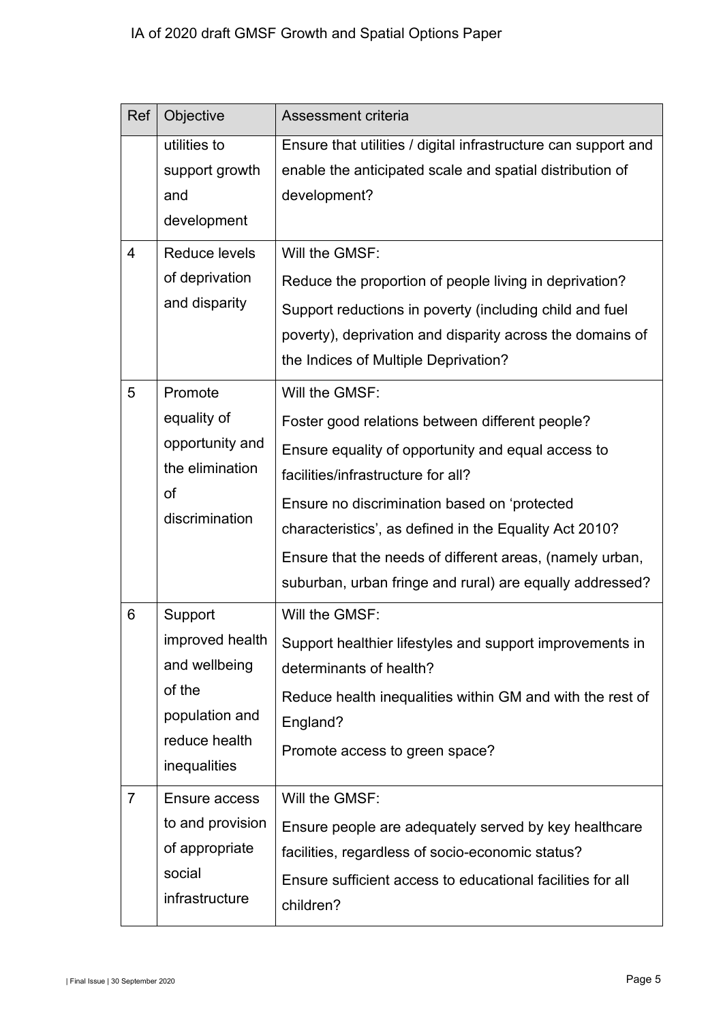| Ref            | Objective                                       | Assessment criteria                                                        |
|----------------|-------------------------------------------------|----------------------------------------------------------------------------|
|                | utilities to                                    | Ensure that utilities / digital infrastructure can support and             |
|                | support growth                                  | enable the anticipated scale and spatial distribution of                   |
|                | and                                             | development?                                                               |
|                | development                                     |                                                                            |
| 4              | <b>Reduce levels</b>                            | Will the GMSF:                                                             |
|                | of deprivation                                  | Reduce the proportion of people living in deprivation?                     |
|                | and disparity                                   | Support reductions in poverty (including child and fuel                    |
|                |                                                 | poverty), deprivation and disparity across the domains of                  |
|                |                                                 | the Indices of Multiple Deprivation?                                       |
| 5              | Promote                                         | Will the GMSF:                                                             |
|                | equality of                                     | Foster good relations between different people?                            |
|                | opportunity and                                 | Ensure equality of opportunity and equal access to                         |
|                | the elimination<br>of<br>discrimination         | facilities/infrastructure for all?                                         |
|                |                                                 | Ensure no discrimination based on 'protected                               |
|                |                                                 | characteristics', as defined in the Equality Act 2010?                     |
|                |                                                 | Ensure that the needs of different areas, (namely urban,                   |
|                |                                                 | suburban, urban fringe and rural) are equally addressed?                   |
| 6              | Support                                         | Will the GMSF:                                                             |
|                |                                                 | improved health   Support healthier lifestyles and support improvements in |
|                | and wellbeing                                   | determinants of health?                                                    |
|                | of the                                          | Reduce health inequalities within GM and with the rest of                  |
|                | population and<br>reduce health<br>inequalities | England?                                                                   |
|                |                                                 | Promote access to green space?                                             |
| $\overline{7}$ | Ensure access                                   | Will the GMSF:                                                             |
|                | to and provision                                | Ensure people are adequately served by key healthcare                      |
|                | of appropriate                                  | facilities, regardless of socio-economic status?                           |
|                | social                                          | Ensure sufficient access to educational facilities for all                 |
|                | infrastructure                                  | children?                                                                  |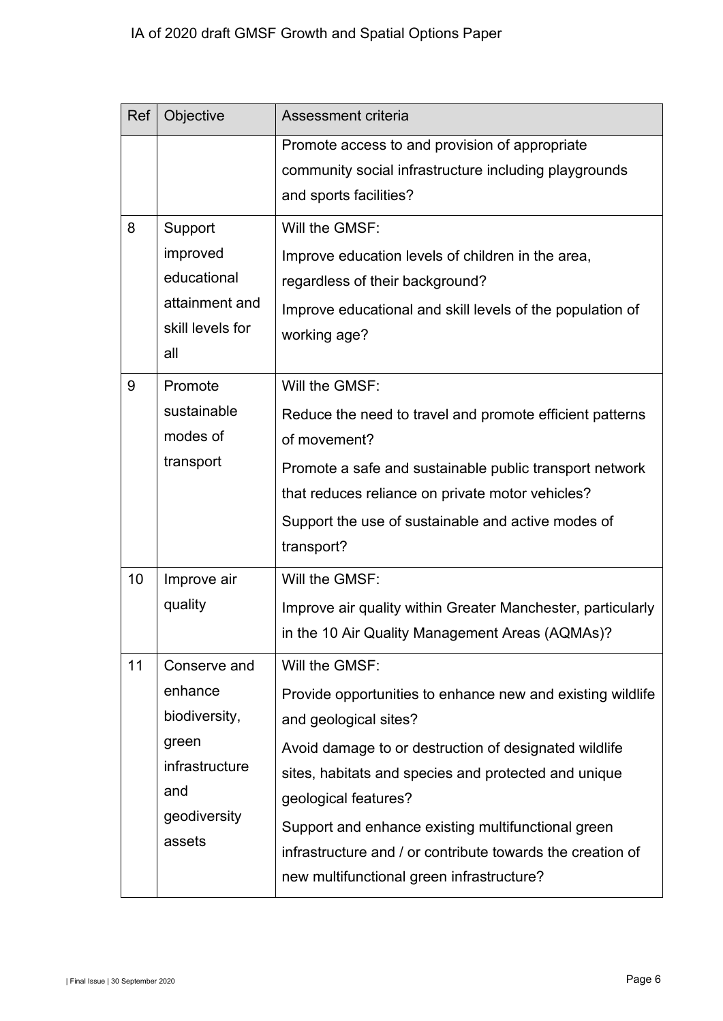| Ref | Objective                                                                                            | Assessment criteria                                                                                                                                                                                                                                                                                                                                                                                             |
|-----|------------------------------------------------------------------------------------------------------|-----------------------------------------------------------------------------------------------------------------------------------------------------------------------------------------------------------------------------------------------------------------------------------------------------------------------------------------------------------------------------------------------------------------|
|     |                                                                                                      | Promote access to and provision of appropriate<br>community social infrastructure including playgrounds<br>and sports facilities?                                                                                                                                                                                                                                                                               |
| 8   | Support<br>improved<br>educational<br>attainment and<br>skill levels for<br>all                      | Will the GMSF:<br>Improve education levels of children in the area,<br>regardless of their background?<br>Improve educational and skill levels of the population of<br>working age?                                                                                                                                                                                                                             |
| 9   | Promote<br>sustainable<br>modes of<br>transport                                                      | Will the GMSF:<br>Reduce the need to travel and promote efficient patterns<br>of movement?<br>Promote a safe and sustainable public transport network<br>that reduces reliance on private motor vehicles?<br>Support the use of sustainable and active modes of<br>transport?                                                                                                                                   |
| 10  | Improve air<br>quality                                                                               | Will the GMSF:<br>Improve air quality within Greater Manchester, particularly<br>in the 10 Air Quality Management Areas (AQMAs)?                                                                                                                                                                                                                                                                                |
| 11  | Conserve and<br>enhance<br>biodiversity,<br>green<br>infrastructure<br>and<br>geodiversity<br>assets | Will the GMSF:<br>Provide opportunities to enhance new and existing wildlife<br>and geological sites?<br>Avoid damage to or destruction of designated wildlife<br>sites, habitats and species and protected and unique<br>geological features?<br>Support and enhance existing multifunctional green<br>infrastructure and / or contribute towards the creation of<br>new multifunctional green infrastructure? |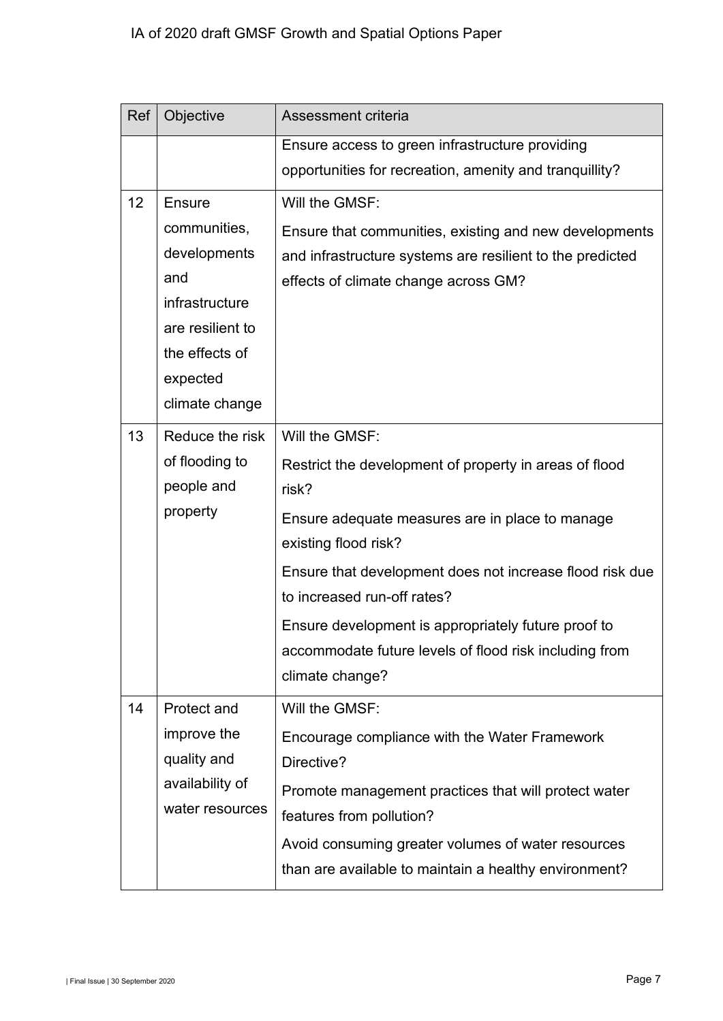| Ref | Objective                                                                              | Assessment criteria                                                                                                                                                                                                                                                                                                                                                                         |
|-----|----------------------------------------------------------------------------------------|---------------------------------------------------------------------------------------------------------------------------------------------------------------------------------------------------------------------------------------------------------------------------------------------------------------------------------------------------------------------------------------------|
|     |                                                                                        | Ensure access to green infrastructure providing                                                                                                                                                                                                                                                                                                                                             |
|     |                                                                                        | opportunities for recreation, amenity and tranquillity?                                                                                                                                                                                                                                                                                                                                     |
| 12  | Ensure<br>communities,<br>developments<br>and<br>infrastructure<br>are resilient to    | Will the GMSF:<br>Ensure that communities, existing and new developments<br>and infrastructure systems are resilient to the predicted<br>effects of climate change across GM?                                                                                                                                                                                                               |
|     | the effects of<br>expected<br>climate change                                           |                                                                                                                                                                                                                                                                                                                                                                                             |
| 13  | Reduce the risk<br>of flooding to<br>people and<br>property                            | Will the GMSF:<br>Restrict the development of property in areas of flood<br>risk?<br>Ensure adequate measures are in place to manage<br>existing flood risk?<br>Ensure that development does not increase flood risk due<br>to increased run-off rates?<br>Ensure development is appropriately future proof to<br>accommodate future levels of flood risk including from<br>climate change? |
| 14  | <b>Protect and</b><br>improve the<br>quality and<br>availability of<br>water resources | Will the GMSF:<br>Encourage compliance with the Water Framework<br>Directive?<br>Promote management practices that will protect water<br>features from pollution?<br>Avoid consuming greater volumes of water resources<br>than are available to maintain a healthy environment?                                                                                                            |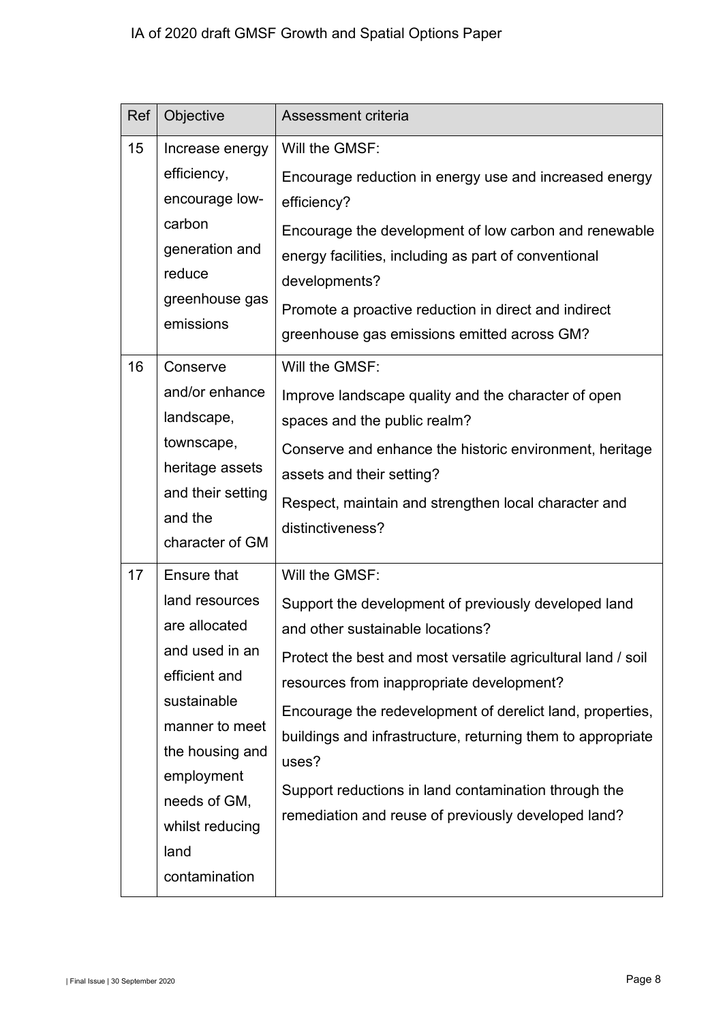| Ref | Objective                                                                                                                                                                                                       | Assessment criteria                                                                                                                                                                                                                                                                                                                                                                                                                                                         |
|-----|-----------------------------------------------------------------------------------------------------------------------------------------------------------------------------------------------------------------|-----------------------------------------------------------------------------------------------------------------------------------------------------------------------------------------------------------------------------------------------------------------------------------------------------------------------------------------------------------------------------------------------------------------------------------------------------------------------------|
| 15  | Increase energy<br>efficiency,<br>encourage low-<br>carbon<br>generation and<br>reduce<br>greenhouse gas<br>emissions                                                                                           | Will the GMSF:<br>Encourage reduction in energy use and increased energy<br>efficiency?<br>Encourage the development of low carbon and renewable<br>energy facilities, including as part of conventional<br>developments?<br>Promote a proactive reduction in direct and indirect<br>greenhouse gas emissions emitted across GM?                                                                                                                                            |
| 16  | Conserve<br>and/or enhance<br>landscape,<br>townscape,<br>heritage assets<br>and their setting<br>and the<br>character of GM                                                                                    | Will the GMSF:<br>Improve landscape quality and the character of open<br>spaces and the public realm?<br>Conserve and enhance the historic environment, heritage<br>assets and their setting?<br>Respect, maintain and strengthen local character and<br>distinctiveness?                                                                                                                                                                                                   |
| 17  | Ensure that<br>land resources<br>are allocated<br>and used in an<br>efficient and<br>sustainable<br>manner to meet<br>the housing and<br>employment<br>needs of GM,<br>whilst reducing<br>land<br>contamination | Will the GMSF:<br>Support the development of previously developed land<br>and other sustainable locations?<br>Protect the best and most versatile agricultural land / soil<br>resources from inappropriate development?<br>Encourage the redevelopment of derelict land, properties,<br>buildings and infrastructure, returning them to appropriate<br>uses?<br>Support reductions in land contamination through the<br>remediation and reuse of previously developed land? |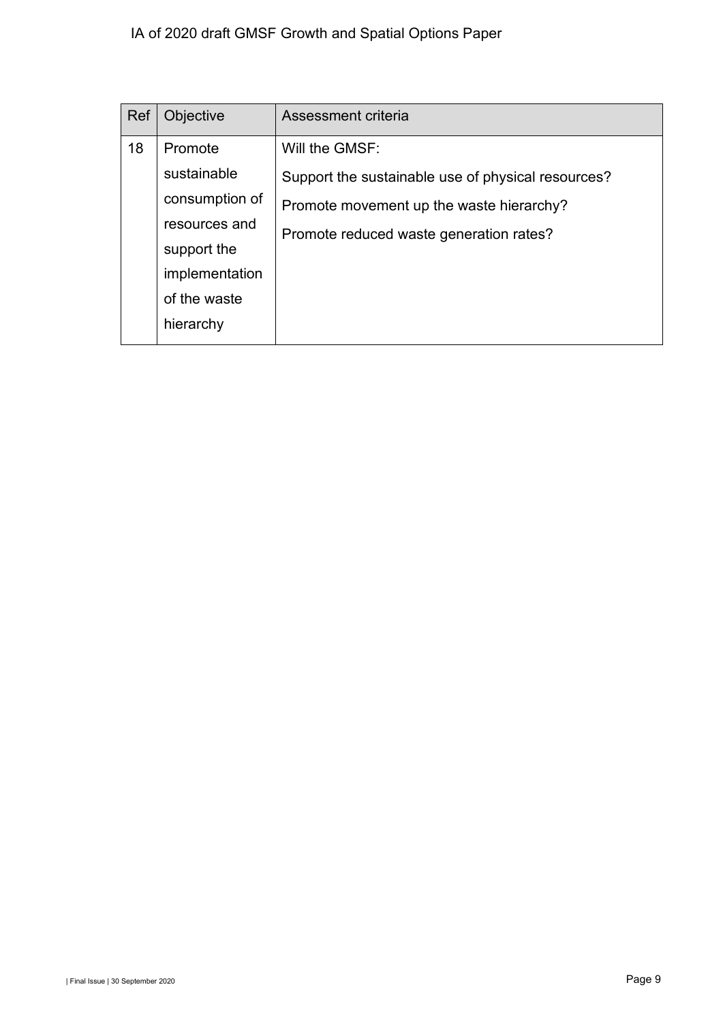## IA of 2020 draft GMSF Growth and Spatial Options Paper

| Ref | Objective      | Assessment criteria                                |
|-----|----------------|----------------------------------------------------|
| 18  | Promote        | Will the GMSF:                                     |
|     | sustainable    | Support the sustainable use of physical resources? |
|     | consumption of | Promote movement up the waste hierarchy?           |
|     | resources and  | Promote reduced waste generation rates?            |
|     | support the    |                                                    |
|     | implementation |                                                    |
|     | of the waste   |                                                    |
|     | hierarchy      |                                                    |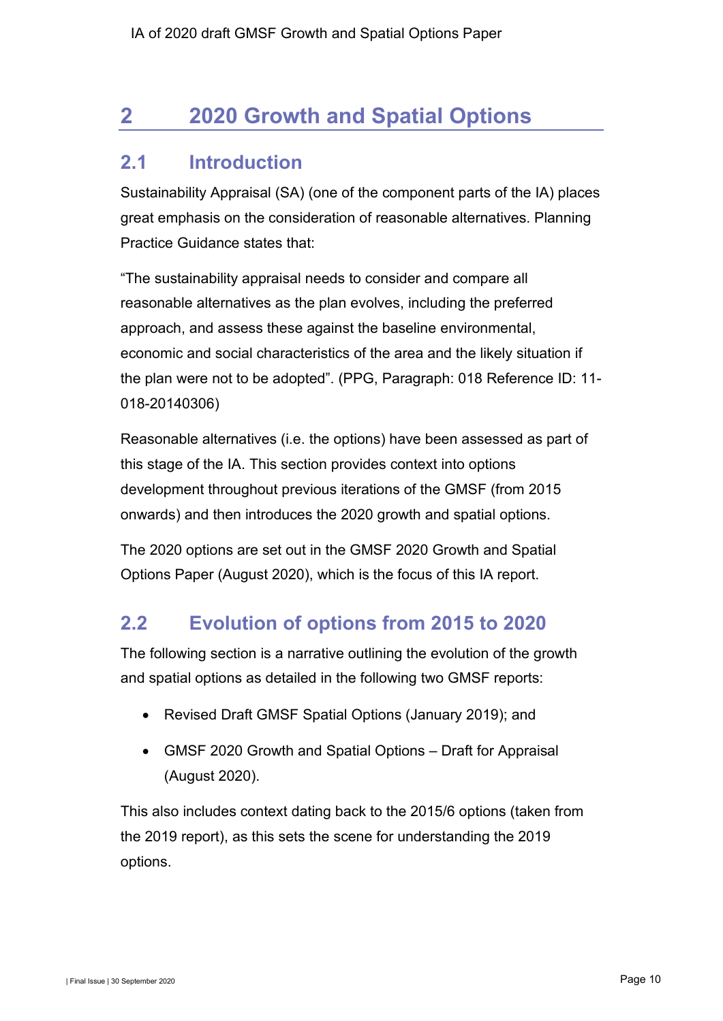# <span id="page-11-0"></span>**2 2020 Growth and Spatial Options**

# <span id="page-11-1"></span>**2.1 Introduction**

Sustainability Appraisal (SA) (one of the component parts of the IA) places great emphasis on the consideration of reasonable alternatives. Planning Practice Guidance states that:

"The sustainability appraisal needs to consider and compare all reasonable alternatives as the plan evolves, including the preferred approach, and assess these against the baseline environmental, economic and social characteristics of the area and the likely situation if the plan were not to be adopted". (PPG, Paragraph: 018 Reference ID: 11- 018-20140306)

Reasonable alternatives (i.e. the options) have been assessed as part of this stage of the IA. This section provides context into options development throughout previous iterations of the GMSF (from 2015 onwards) and then introduces the 2020 growth and spatial options.

The 2020 options are set out in the GMSF 2020 Growth and Spatial Options Paper (August 2020), which is the focus of this IA report.

# <span id="page-11-2"></span>**2.2 Evolution of options from 2015 to 2020**

The following section is a narrative outlining the evolution of the growth and spatial options as detailed in the following two GMSF reports:

- Revised Draft GMSF Spatial Options (January 2019); and
- GMSF 2020 Growth and Spatial Options Draft for Appraisal (August 2020).

This also includes context dating back to the 2015/6 options (taken from the 2019 report), as this sets the scene for understanding the 2019 options.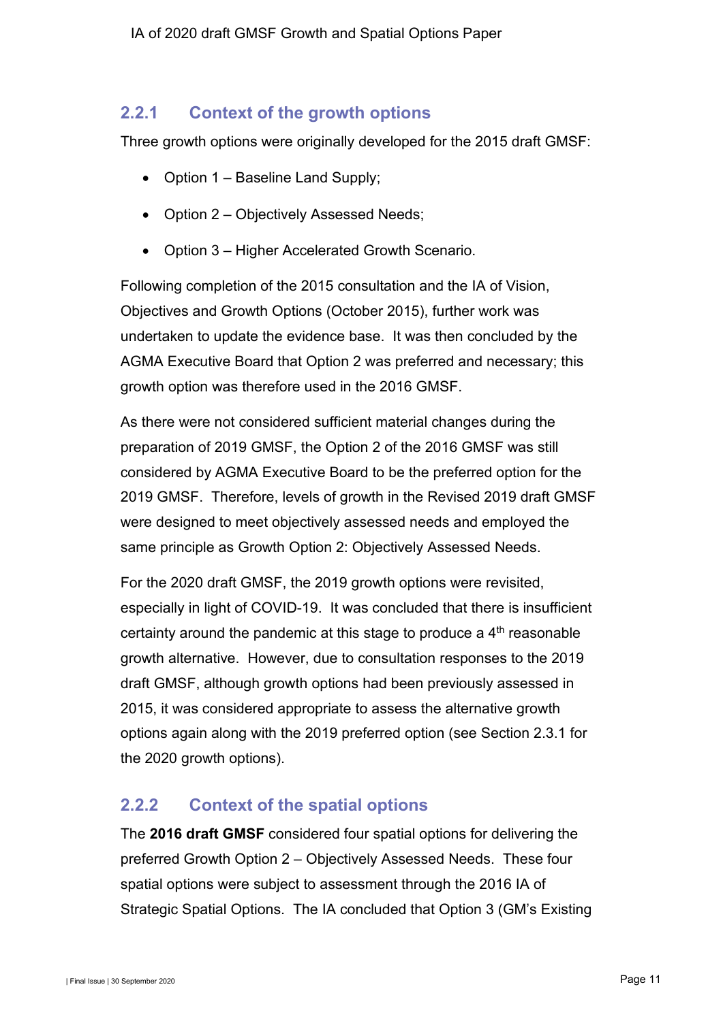### **2.2.1 Context of the growth options**

Three growth options were originally developed for the 2015 draft GMSF:

- Option 1 Baseline Land Supply;
- Option 2 Objectively Assessed Needs;
- Option 3 Higher Accelerated Growth Scenario.

Following completion of the 2015 consultation and the IA of Vision, Objectives and Growth Options (October 2015), further work was undertaken to update the evidence base. It was then concluded by the AGMA Executive Board that Option 2 was preferred and necessary; this growth option was therefore used in the 2016 GMSF.

As there were not considered sufficient material changes during the preparation of 2019 GMSF, the Option 2 of the 2016 GMSF was still considered by AGMA Executive Board to be the preferred option for the 2019 GMSF. Therefore, levels of growth in the Revised 2019 draft GMSF were designed to meet objectively assessed needs and employed the same principle as Growth Option 2: Objectively Assessed Needs.

For the 2020 draft GMSF, the 2019 growth options were revisited, especially in light of COVID-19. It was concluded that there is insufficient certainty around the pandemic at this stage to produce a 4th reasonable growth alternative. However, due to consultation responses to the 2019 draft GMSF, although growth options had been previously assessed in 2015, it was considered appropriate to assess the alternative growth options again along with the 2019 preferred option (see Section [2.3.1](#page-13-1) for the 2020 growth options).

## **2.2.2 Context of the spatial options**

The **2016 draft GMSF** considered four spatial options for delivering the preferred Growth Option 2 – Objectively Assessed Needs. These four spatial options were subject to assessment through the 2016 IA of Strategic Spatial Options. The IA concluded that Option 3 (GM's Existing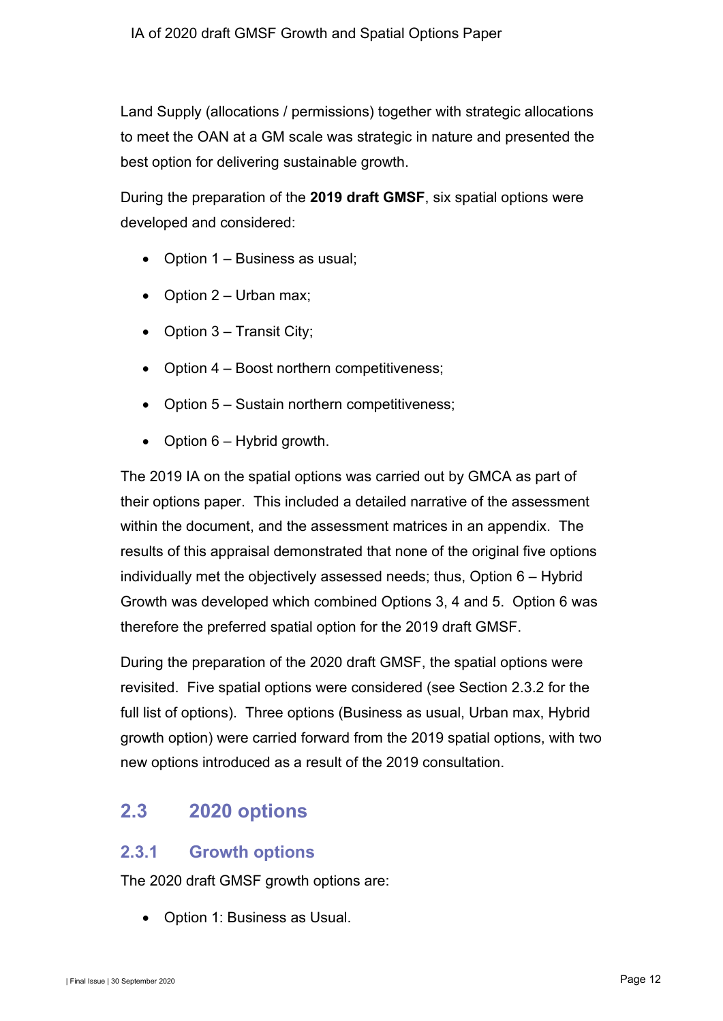Land Supply (allocations / permissions) together with strategic allocations to meet the OAN at a GM scale was strategic in nature and presented the best option for delivering sustainable growth.

During the preparation of the **2019 draft GMSF**, six spatial options were developed and considered:

- Option 1 Business as usual;
- Option  $2$  Urban max;
- Option 3 Transit City;
- Option 4 Boost northern competitiveness;
- Option 5 Sustain northern competitiveness;
- Option  $6 -$  Hybrid growth.

The 2019 IA on the spatial options was carried out by GMCA as part of their options paper. This included a detailed narrative of the assessment within the document, and the assessment matrices in an appendix. The results of this appraisal demonstrated that none of the original five options individually met the objectively assessed needs; thus, Option 6 – Hybrid Growth was developed which combined Options 3, 4 and 5. Option 6 was therefore the preferred spatial option for the 2019 draft GMSF.

During the preparation of the 2020 draft GMSF, the spatial options were revisited. Five spatial options were considered (see Section [2.3.2](#page-14-0) for the full list of options). Three options (Business as usual, Urban max, Hybrid growth option) were carried forward from the 2019 spatial options, with two new options introduced as a result of the 2019 consultation.

# <span id="page-13-0"></span>**2.3 2020 options**

### <span id="page-13-1"></span>**2.3.1 Growth options**

The 2020 draft GMSF growth options are:

• Option 1: Business as Usual.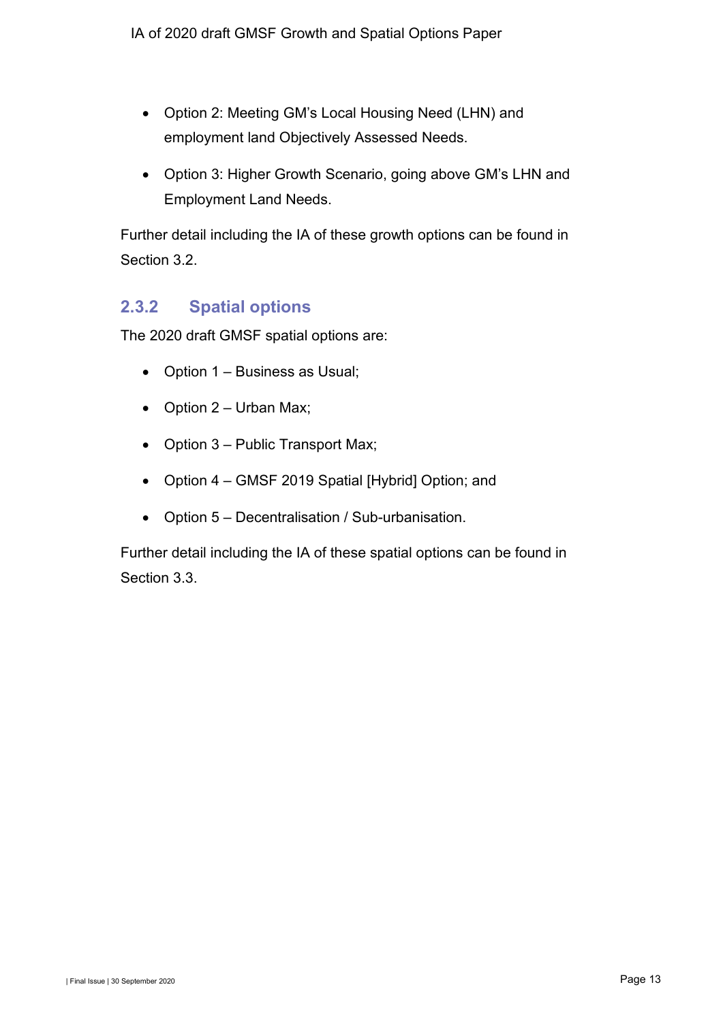- Option 2: Meeting GM's Local Housing Need (LHN) and employment land Objectively Assessed Needs.
- Option 3: Higher Growth Scenario, going above GM's LHN and Employment Land Needs.

Further detail including the IA of these growth options can be found in Section [3.2.](#page-15-3)

## <span id="page-14-0"></span>**2.3.2 Spatial options**

The 2020 draft GMSF spatial options are:

- Option 1 Business as Usual;
- Option  $2$  Urban Max;
- Option 3 Public Transport Max;
- Option 4 GMSF 2019 Spatial [Hybrid] Option; and
- Option 5 Decentralisation / Sub-urbanisation.

Further detail including the IA of these spatial options can be found in Section [3.3.](#page-21-1)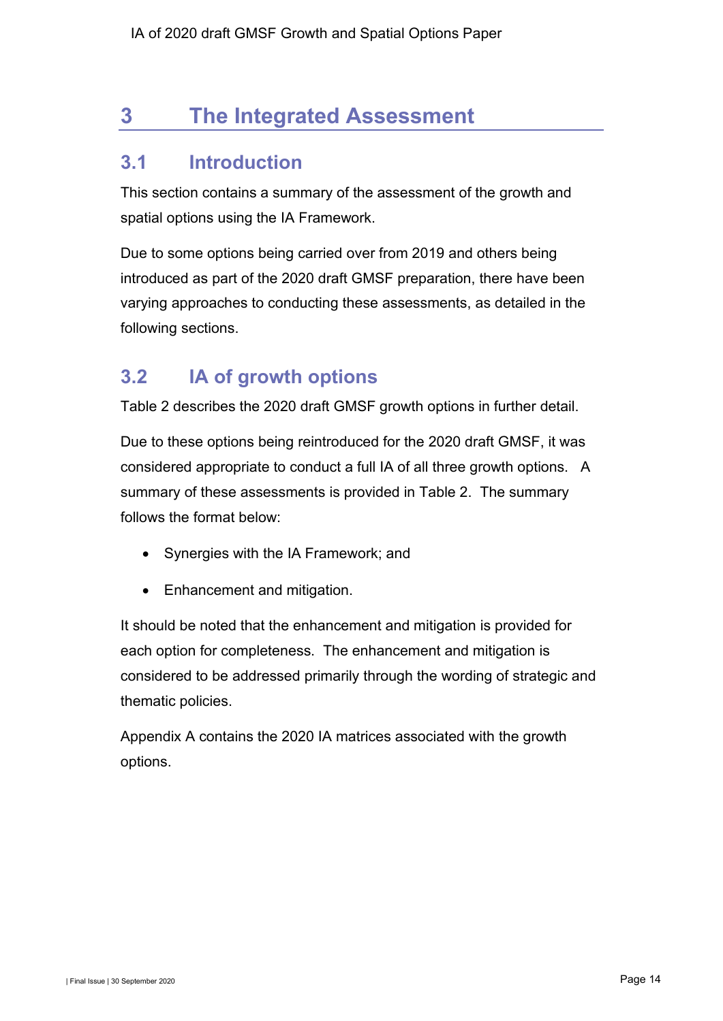# <span id="page-15-0"></span>**3 The Integrated Assessment**

# <span id="page-15-1"></span>**3.1 Introduction**

This section contains a summary of the assessment of the growth and spatial options using the IA Framework.

Due to some options being carried over from 2019 and others being introduced as part of the 2020 draft GMSF preparation, there have been varying approaches to conducting these assessments, as detailed in the following sections.

# <span id="page-15-3"></span><span id="page-15-2"></span>**3.2 IA of growth options**

[Table 2](#page-15-4) describes the 2020 draft GMSF growth options in further detail.

Due to these options being reintroduced for the 2020 draft GMSF, it was considered appropriate to conduct a full IA of all three growth options. A summary of these assessments is provided in [Table 2.](#page-15-4) The summary follows the format below:

- Synergies with the IA Framework; and
- Enhancement and mitigation.

It should be noted that the enhancement and mitigation is provided for each option for completeness. The enhancement and mitigation is considered to be addressed primarily through the wording of strategic and thematic policies.

<span id="page-15-4"></span>Appendix A contains the 2020 IA matrices associated with the growth options.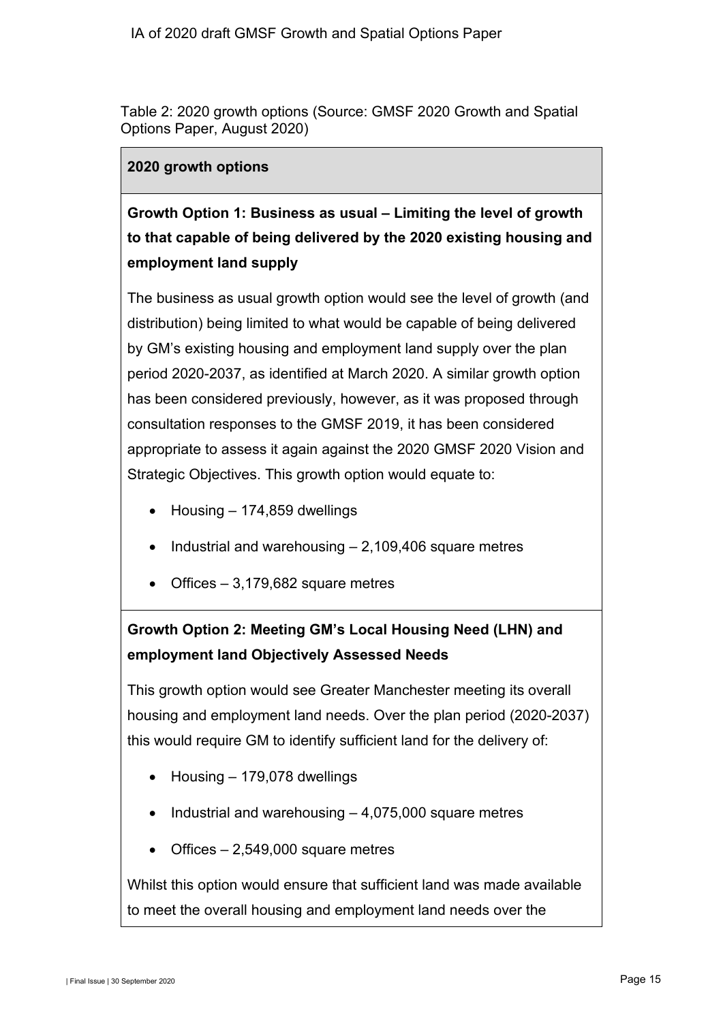Table 2: 2020 growth options (Source: GMSF 2020 Growth and Spatial Options Paper, August 2020)

#### **2020 growth options**

# **Growth Option 1: Business as usual – Limiting the level of growth to that capable of being delivered by the 2020 existing housing and employment land supply**

The business as usual growth option would see the level of growth (and distribution) being limited to what would be capable of being delivered by GM's existing housing and employment land supply over the plan period 2020-2037, as identified at March 2020. A similar growth option has been considered previously, however, as it was proposed through consultation responses to the GMSF 2019, it has been considered appropriate to assess it again against the 2020 GMSF 2020 Vision and Strategic Objectives. This growth option would equate to:

- Housing 174,859 dwellings
- Industrial and warehousing 2,109,406 square metres
- Offices  $-3,179,682$  square metres

# **Growth Option 2: Meeting GM's Local Housing Need (LHN) and employment land Objectively Assessed Needs**

This growth option would see Greater Manchester meeting its overall housing and employment land needs. Over the plan period (2020-2037) this would require GM to identify sufficient land for the delivery of:

- Housing 179,078 dwellings
- Industrial and warehousing 4,075,000 square metres
- Offices  $-2,549,000$  square metres

Whilst this option would ensure that sufficient land was made available to meet the overall housing and employment land needs over the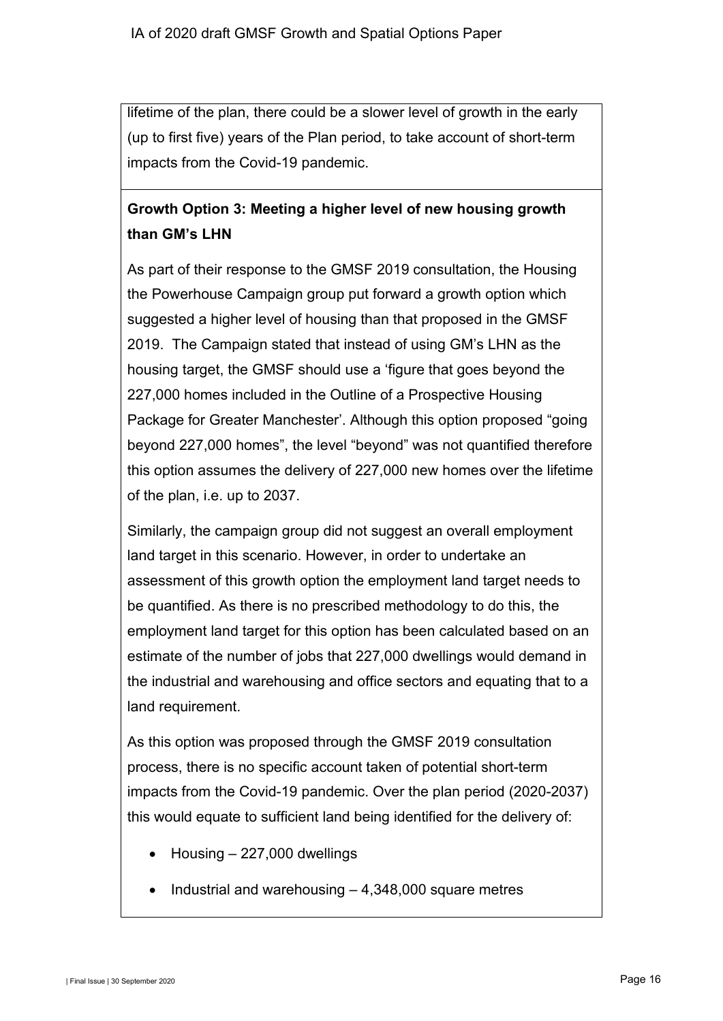lifetime of the plan, there could be a slower level of growth in the early (up to first five) years of the Plan period, to take account of short-term impacts from the Covid-19 pandemic.

# **Growth Option 3: Meeting a higher level of new housing growth than GM's LHN**

As part of their response to the GMSF 2019 consultation, the Housing the Powerhouse Campaign group put forward a growth option which suggested a higher level of housing than that proposed in the GMSF 2019. The Campaign stated that instead of using GM's LHN as the housing target, the GMSF should use a 'figure that goes beyond the 227,000 homes included in the Outline of a Prospective Housing Package for Greater Manchester'. Although this option proposed "going beyond 227,000 homes", the level "beyond" was not quantified therefore this option assumes the delivery of 227,000 new homes over the lifetime of the plan, i.e. up to 2037.

Similarly, the campaign group did not suggest an overall employment land target in this scenario. However, in order to undertake an assessment of this growth option the employment land target needs to be quantified. As there is no prescribed methodology to do this, the employment land target for this option has been calculated based on an estimate of the number of jobs that 227,000 dwellings would demand in the industrial and warehousing and office sectors and equating that to a land requirement.

As this option was proposed through the GMSF 2019 consultation process, there is no specific account taken of potential short-term impacts from the Covid-19 pandemic. Over the plan period (2020-2037) this would equate to sufficient land being identified for the delivery of:

- $Housing 227,000$  dwellings
- Industrial and warehousing 4,348,000 square metres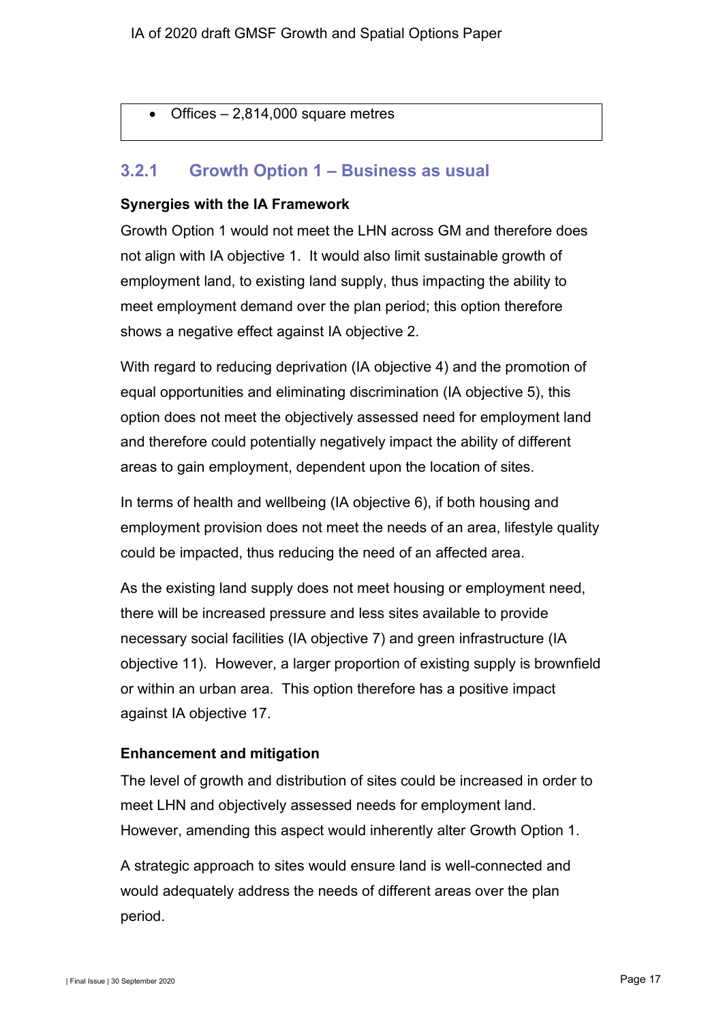• Offices – 2,814,000 square metres

### **3.2.1 Growth Option 1 – Business as usual**

#### **Synergies with the IA Framework**

Growth Option 1 would not meet the LHN across GM and therefore does not align with IA objective 1. It would also limit sustainable growth of employment land, to existing land supply, thus impacting the ability to meet employment demand over the plan period; this option therefore shows a negative effect against IA objective 2.

With regard to reducing deprivation (IA objective 4) and the promotion of equal opportunities and eliminating discrimination (IA objective 5), this option does not meet the objectively assessed need for employment land and therefore could potentially negatively impact the ability of different areas to gain employment, dependent upon the location of sites.

In terms of health and wellbeing (IA objective 6), if both housing and employment provision does not meet the needs of an area, lifestyle quality could be impacted, thus reducing the need of an affected area.

As the existing land supply does not meet housing or employment need, there will be increased pressure and less sites available to provide necessary social facilities (IA objective 7) and green infrastructure (IA objective 11). However, a larger proportion of existing supply is brownfield or within an urban area. This option therefore has a positive impact against IA objective 17.

#### **Enhancement and mitigation**

The level of growth and distribution of sites could be increased in order to meet LHN and objectively assessed needs for employment land. However, amending this aspect would inherently alter Growth Option 1.

A strategic approach to sites would ensure land is well-connected and would adequately address the needs of different areas over the plan period.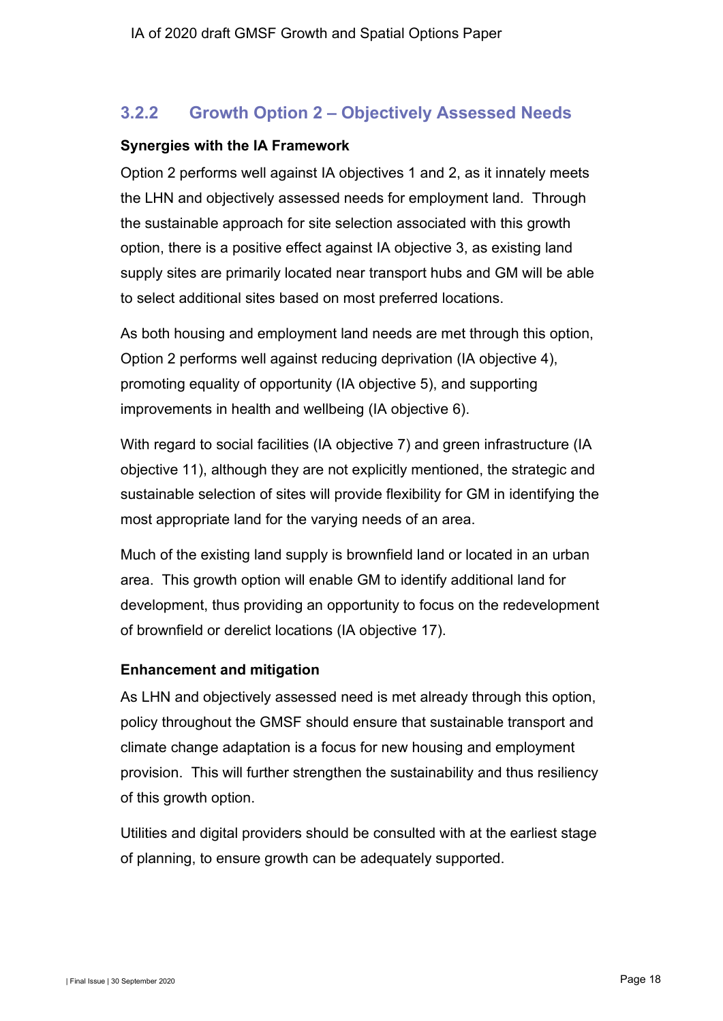## **3.2.2 Growth Option 2 – Objectively Assessed Needs**

#### **Synergies with the IA Framework**

Option 2 performs well against IA objectives 1 and 2, as it innately meets the LHN and objectively assessed needs for employment land. Through the sustainable approach for site selection associated with this growth option, there is a positive effect against IA objective 3, as existing land supply sites are primarily located near transport hubs and GM will be able to select additional sites based on most preferred locations.

As both housing and employment land needs are met through this option, Option 2 performs well against reducing deprivation (IA objective 4), promoting equality of opportunity (IA objective 5), and supporting improvements in health and wellbeing (IA objective 6).

With regard to social facilities (IA objective 7) and green infrastructure (IA objective 11), although they are not explicitly mentioned, the strategic and sustainable selection of sites will provide flexibility for GM in identifying the most appropriate land for the varying needs of an area.

Much of the existing land supply is brownfield land or located in an urban area. This growth option will enable GM to identify additional land for development, thus providing an opportunity to focus on the redevelopment of brownfield or derelict locations (IA objective 17).

### **Enhancement and mitigation**

As LHN and objectively assessed need is met already through this option, policy throughout the GMSF should ensure that sustainable transport and climate change adaptation is a focus for new housing and employment provision. This will further strengthen the sustainability and thus resiliency of this growth option.

Utilities and digital providers should be consulted with at the earliest stage of planning, to ensure growth can be adequately supported.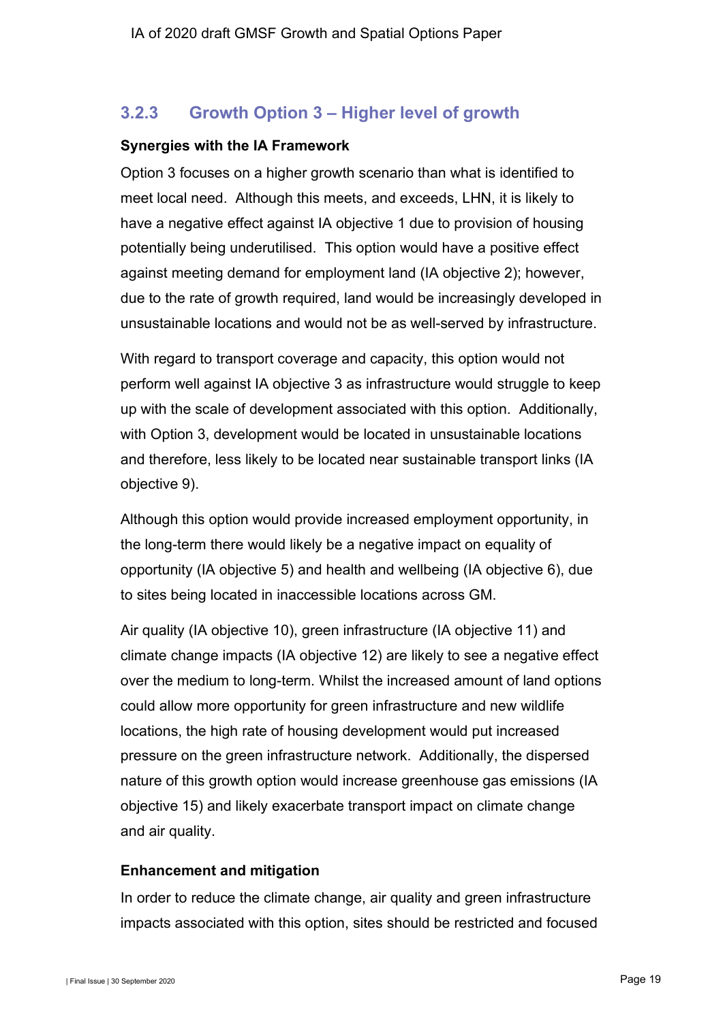## **3.2.3 Growth Option 3 – Higher level of growth**

#### **Synergies with the IA Framework**

Option 3 focuses on a higher growth scenario than what is identified to meet local need. Although this meets, and exceeds, LHN, it is likely to have a negative effect against IA objective 1 due to provision of housing potentially being underutilised. This option would have a positive effect against meeting demand for employment land (IA objective 2); however, due to the rate of growth required, land would be increasingly developed in unsustainable locations and would not be as well-served by infrastructure.

With regard to transport coverage and capacity, this option would not perform well against IA objective 3 as infrastructure would struggle to keep up with the scale of development associated with this option. Additionally, with Option 3, development would be located in unsustainable locations and therefore, less likely to be located near sustainable transport links (IA objective 9).

Although this option would provide increased employment opportunity, in the long-term there would likely be a negative impact on equality of opportunity (IA objective 5) and health and wellbeing (IA objective 6), due to sites being located in inaccessible locations across GM.

Air quality (IA objective 10), green infrastructure (IA objective 11) and climate change impacts (IA objective 12) are likely to see a negative effect over the medium to long-term. Whilst the increased amount of land options could allow more opportunity for green infrastructure and new wildlife locations, the high rate of housing development would put increased pressure on the green infrastructure network. Additionally, the dispersed nature of this growth option would increase greenhouse gas emissions (IA objective 15) and likely exacerbate transport impact on climate change and air quality.

### **Enhancement and mitigation**

In order to reduce the climate change, air quality and green infrastructure impacts associated with this option, sites should be restricted and focused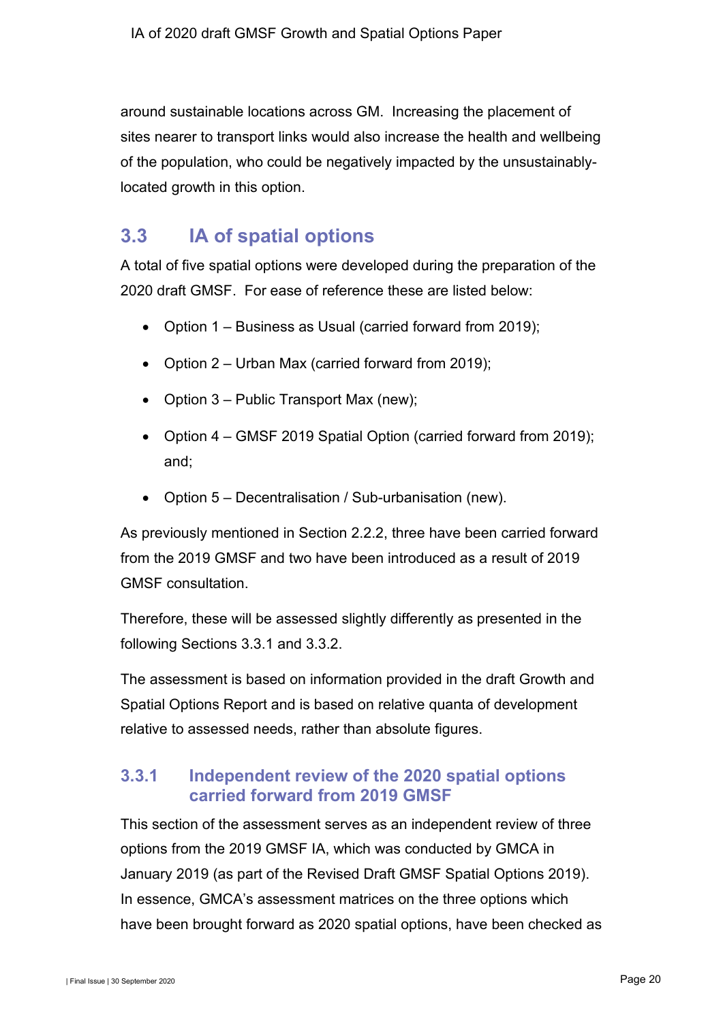around sustainable locations across GM. Increasing the placement of sites nearer to transport links would also increase the health and wellbeing of the population, who could be negatively impacted by the unsustainablylocated growth in this option.

# <span id="page-21-1"></span><span id="page-21-0"></span>**3.3 IA of spatial options**

A total of five spatial options were developed during the preparation of the 2020 draft GMSF. For ease of reference these are listed below:

- Option 1 Business as Usual (carried forward from 2019);
- Option 2 Urban Max (carried forward from 2019);
- Option 3 Public Transport Max (new);
- Option 4 GMSF 2019 Spatial Option (carried forward from 2019); and;
- Option 5 Decentralisation / Sub-urbanisation (new).

As previously mentioned in Section 2.2.2, three have been carried forward from the 2019 GMSF and two have been introduced as a result of 2019 GMSF consultation.

Therefore, these will be assessed slightly differently as presented in the following Sections [3.3.1](#page-21-2) and [3.3.2.](#page-33-0)

The assessment is based on information provided in the draft Growth and Spatial Options Report and is based on relative quanta of development relative to assessed needs, rather than absolute figures.

## <span id="page-21-2"></span>**3.3.1 Independent review of the 2020 spatial options carried forward from 2019 GMSF**

This section of the assessment serves as an independent review of three options from the 2019 GMSF IA, which was conducted by GMCA in January 2019 (as part of the Revised Draft GMSF Spatial Options 2019). In essence, GMCA's assessment matrices on the three options which have been brought forward as 2020 spatial options, have been checked as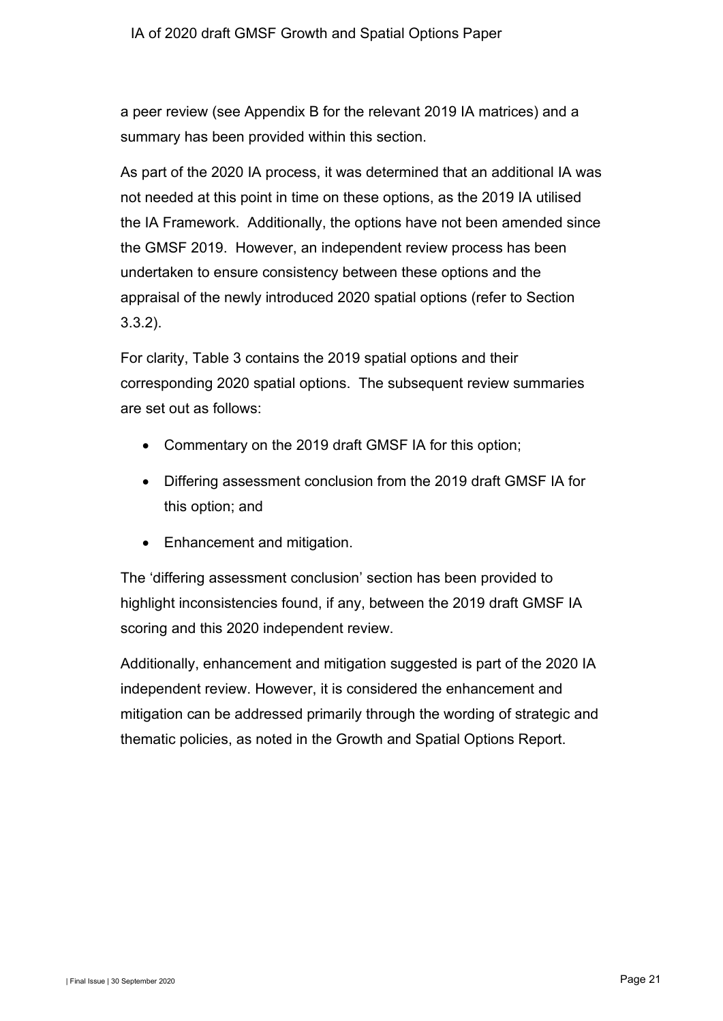a peer review (see Appendix B for the relevant 2019 IA matrices) and a summary has been provided within this section.

As part of the 2020 IA process, it was determined that an additional IA was not needed at this point in time on these options, as the 2019 IA utilised the IA Framework. Additionally, the options have not been amended since the GMSF 2019. However, an independent review process has been undertaken to ensure consistency between these options and the appraisal of the newly introduced 2020 spatial options (refer to Section [3.3.2\)](#page-33-0).

For clarity, [Table 3](#page-23-0) contains the 2019 spatial options and their corresponding 2020 spatial options. The subsequent review summaries are set out as follows:

- Commentary on the 2019 draft GMSF IA for this option;
- Differing assessment conclusion from the 2019 draft GMSF IA for this option; and
- Enhancement and mitigation.

The 'differing assessment conclusion' section has been provided to highlight inconsistencies found, if any, between the 2019 draft GMSF IA scoring and this 2020 independent review.

Additionally, enhancement and mitigation suggested is part of the 2020 IA independent review. However, it is considered the enhancement and mitigation can be addressed primarily through the wording of strategic and thematic policies, as noted in the Growth and Spatial Options Report.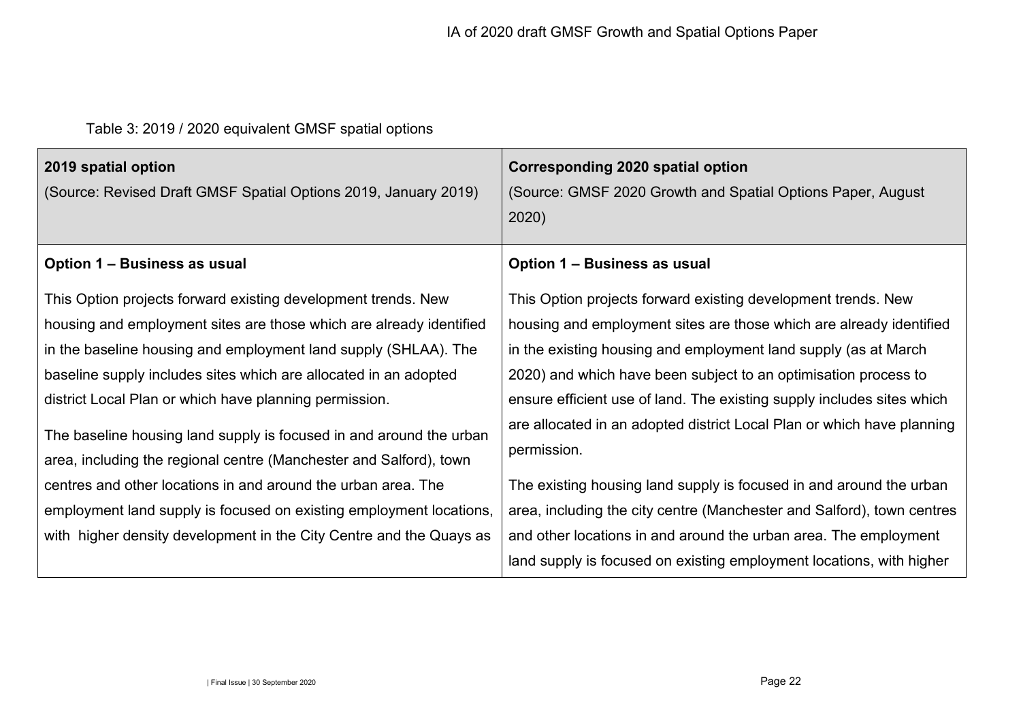# Table 3: 2019 / 2020 equivalent GMSF spatial options

<span id="page-23-0"></span>

| 2019 spatial option<br>(Source: Revised Draft GMSF Spatial Options 2019, January 2019)                                                                                                                                                                                                                                                                                                                                                                                                                                                                                                                                                                                                            | Corresponding 2020 spatial option<br>(Source: GMSF 2020 Growth and Spatial Options Paper, August<br>2020)                                                                                                                                                                                                                                                                                                                                                                                                                                                                                                                                                                                                                                  |
|---------------------------------------------------------------------------------------------------------------------------------------------------------------------------------------------------------------------------------------------------------------------------------------------------------------------------------------------------------------------------------------------------------------------------------------------------------------------------------------------------------------------------------------------------------------------------------------------------------------------------------------------------------------------------------------------------|--------------------------------------------------------------------------------------------------------------------------------------------------------------------------------------------------------------------------------------------------------------------------------------------------------------------------------------------------------------------------------------------------------------------------------------------------------------------------------------------------------------------------------------------------------------------------------------------------------------------------------------------------------------------------------------------------------------------------------------------|
| Option 1 – Business as usual                                                                                                                                                                                                                                                                                                                                                                                                                                                                                                                                                                                                                                                                      | Option 1 – Business as usual                                                                                                                                                                                                                                                                                                                                                                                                                                                                                                                                                                                                                                                                                                               |
| This Option projects forward existing development trends. New<br>housing and employment sites are those which are already identified<br>in the baseline housing and employment land supply (SHLAA). The<br>baseline supply includes sites which are allocated in an adopted<br>district Local Plan or which have planning permission.<br>The baseline housing land supply is focused in and around the urban<br>area, including the regional centre (Manchester and Salford), town<br>centres and other locations in and around the urban area. The<br>employment land supply is focused on existing employment locations,<br>with higher density development in the City Centre and the Quays as | This Option projects forward existing development trends. New<br>housing and employment sites are those which are already identified<br>in the existing housing and employment land supply (as at March<br>2020) and which have been subject to an optimisation process to<br>ensure efficient use of land. The existing supply includes sites which<br>are allocated in an adopted district Local Plan or which have planning<br>permission.<br>The existing housing land supply is focused in and around the urban<br>area, including the city centre (Manchester and Salford), town centres<br>and other locations in and around the urban area. The employment<br>land supply is focused on existing employment locations, with higher |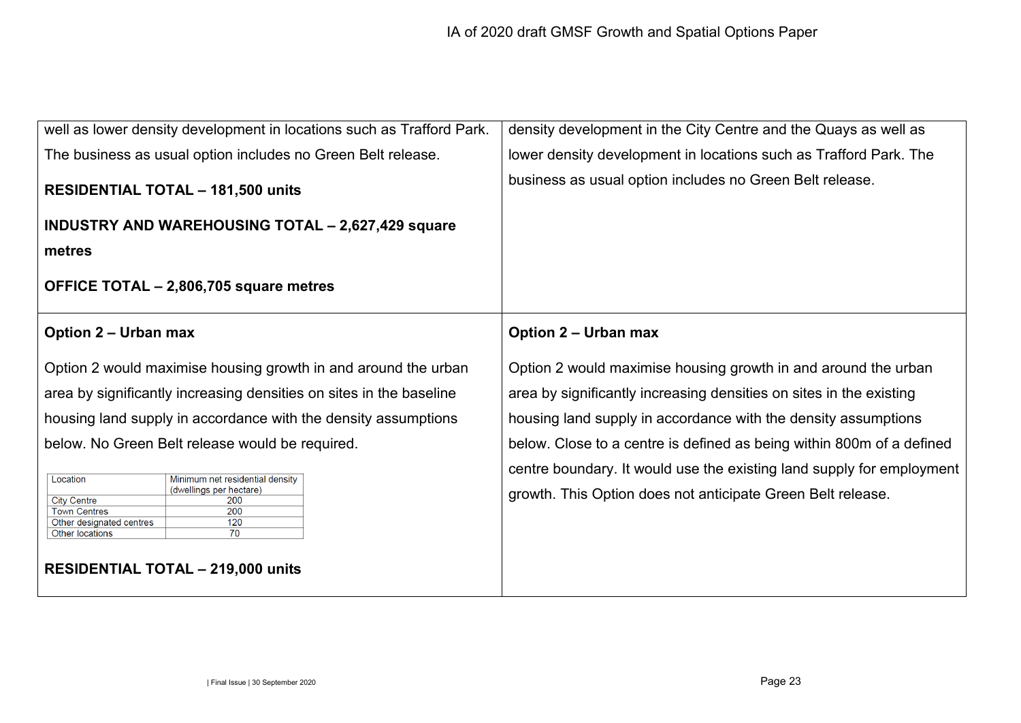| well as lower density development in locations such as Trafford Park.                                                                                                                         | density development in the City Centre and the Quays as well as                                                                      |
|-----------------------------------------------------------------------------------------------------------------------------------------------------------------------------------------------|--------------------------------------------------------------------------------------------------------------------------------------|
| The business as usual option includes no Green Belt release.                                                                                                                                  | lower density development in locations such as Trafford Park. The                                                                    |
| <b>RESIDENTIAL TOTAL - 181,500 units</b>                                                                                                                                                      | business as usual option includes no Green Belt release.                                                                             |
| <b>INDUSTRY AND WAREHOUSING TOTAL - 2,627,429 square</b>                                                                                                                                      |                                                                                                                                      |
| metres                                                                                                                                                                                        |                                                                                                                                      |
| OFFICE TOTAL - 2,806,705 square metres                                                                                                                                                        |                                                                                                                                      |
| <b>Option 2 – Urban max</b>                                                                                                                                                                   | <b>Option 2 - Urban max</b>                                                                                                          |
| Option 2 would maximise housing growth in and around the urban                                                                                                                                | Option 2 would maximise housing growth in and around the urban                                                                       |
| area by significantly increasing densities on sites in the baseline                                                                                                                           | area by significantly increasing densities on sites in the existing                                                                  |
| housing land supply in accordance with the density assumptions                                                                                                                                | housing land supply in accordance with the density assumptions                                                                       |
| below. No Green Belt release would be required.                                                                                                                                               | below. Close to a centre is defined as being within 800m of a defined                                                                |
| Location<br>Minimum net residential density<br>(dwellings per hectare)<br><b>City Centre</b><br>200<br>200<br><b>Town Centres</b><br>120<br>Other designated centres<br>70<br>Other locations | centre boundary. It would use the existing land supply for employment<br>growth. This Option does not anticipate Green Belt release. |
| <b>RESIDENTIAL TOTAL - 219,000 units</b>                                                                                                                                                      |                                                                                                                                      |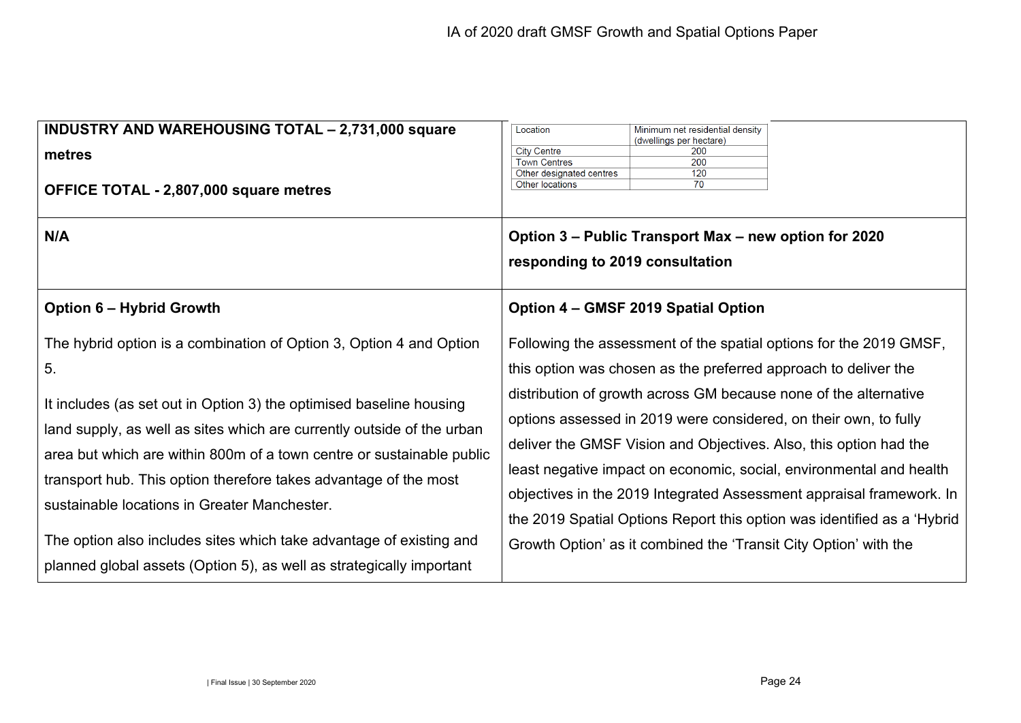| <b>INDUSTRY AND WAREHOUSING TOTAL - 2,731,000 square</b><br>metres<br>OFFICE TOTAL - 2,807,000 square metres<br>N/A                                                                                                                                                                                                                                                                                                     | Minimum net residential density<br>Location<br>(dwellings per hectare)<br><b>City Centre</b><br>200<br><b>Town Centres</b><br>200<br>120<br>Other designated centres<br>Other locations<br>70<br>Option 3 – Public Transport Max – new option for 2020<br>responding to 2019 consultation                                                                                                                                                                                                                                                                                    |
|-------------------------------------------------------------------------------------------------------------------------------------------------------------------------------------------------------------------------------------------------------------------------------------------------------------------------------------------------------------------------------------------------------------------------|------------------------------------------------------------------------------------------------------------------------------------------------------------------------------------------------------------------------------------------------------------------------------------------------------------------------------------------------------------------------------------------------------------------------------------------------------------------------------------------------------------------------------------------------------------------------------|
| <b>Option 6 – Hybrid Growth</b>                                                                                                                                                                                                                                                                                                                                                                                         | Option 4 - GMSF 2019 Spatial Option                                                                                                                                                                                                                                                                                                                                                                                                                                                                                                                                          |
| The hybrid option is a combination of Option 3, Option 4 and Option<br>5.<br>It includes (as set out in Option 3) the optimised baseline housing<br>land supply, as well as sites which are currently outside of the urban<br>area but which are within 800m of a town centre or sustainable public<br>transport hub. This option therefore takes advantage of the most<br>sustainable locations in Greater Manchester. | Following the assessment of the spatial options for the 2019 GMSF,<br>this option was chosen as the preferred approach to deliver the<br>distribution of growth across GM because none of the alternative<br>options assessed in 2019 were considered, on their own, to fully<br>deliver the GMSF Vision and Objectives. Also, this option had the<br>least negative impact on economic, social, environmental and health<br>objectives in the 2019 Integrated Assessment appraisal framework. In<br>the 2019 Spatial Options Report this option was identified as a 'Hybrid |
| The option also includes sites which take advantage of existing and<br>planned global assets (Option 5), as well as strategically important                                                                                                                                                                                                                                                                             | Growth Option' as it combined the 'Transit City Option' with the                                                                                                                                                                                                                                                                                                                                                                                                                                                                                                             |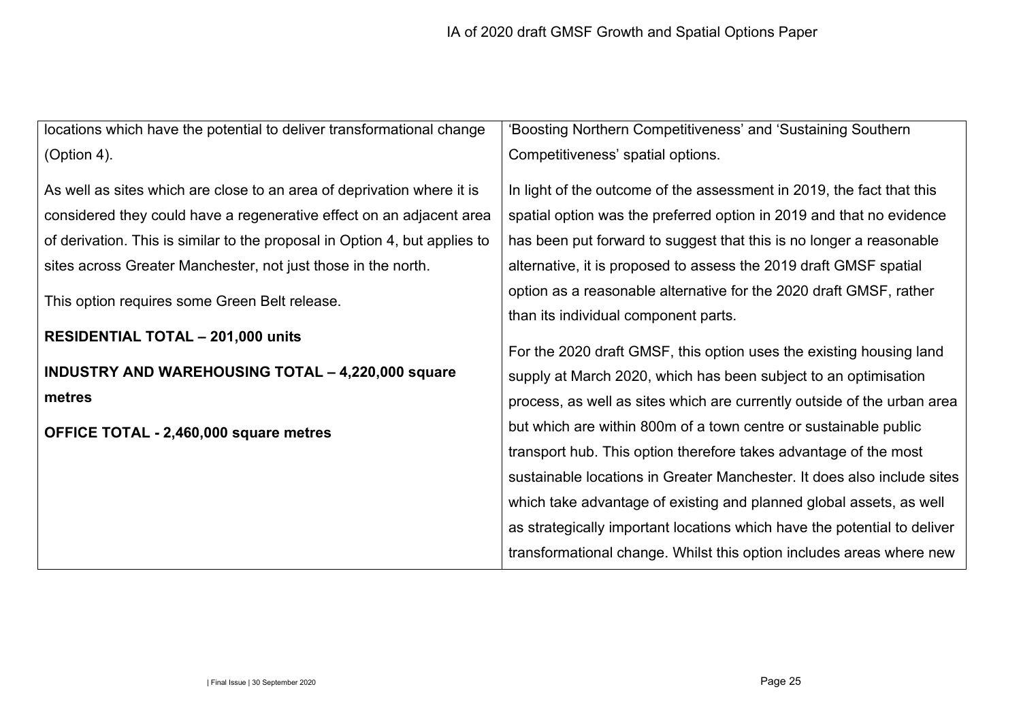| locations which have the potential to deliver transformational change      | 'Boosting Northern Competitiveness' and 'Sustaining Southern             |
|----------------------------------------------------------------------------|--------------------------------------------------------------------------|
| (Option 4).                                                                | Competitiveness' spatial options.                                        |
| As well as sites which are close to an area of deprivation where it is     | In light of the outcome of the assessment in 2019, the fact that this    |
| considered they could have a regenerative effect on an adjacent area       | spatial option was the preferred option in 2019 and that no evidence     |
| of derivation. This is similar to the proposal in Option 4, but applies to | has been put forward to suggest that this is no longer a reasonable      |
| sites across Greater Manchester, not just those in the north.              | alternative, it is proposed to assess the 2019 draft GMSF spatial        |
| This option requires some Green Belt release.                              | option as a reasonable alternative for the 2020 draft GMSF, rather       |
|                                                                            | than its individual component parts.                                     |
| <b>RESIDENTIAL TOTAL - 201,000 units</b>                                   | For the 2020 draft GMSF, this option uses the existing housing land      |
| <b>INDUSTRY AND WAREHOUSING TOTAL - 4,220,000 square</b>                   | supply at March 2020, which has been subject to an optimisation          |
| metres                                                                     | process, as well as sites which are currently outside of the urban area  |
| OFFICE TOTAL - 2,460,000 square metres                                     | but which are within 800m of a town centre or sustainable public         |
|                                                                            | transport hub. This option therefore takes advantage of the most         |
|                                                                            | sustainable locations in Greater Manchester. It does also include sites  |
|                                                                            | which take advantage of existing and planned global assets, as well      |
|                                                                            | as strategically important locations which have the potential to deliver |
|                                                                            | transformational change. Whilst this option includes areas where new     |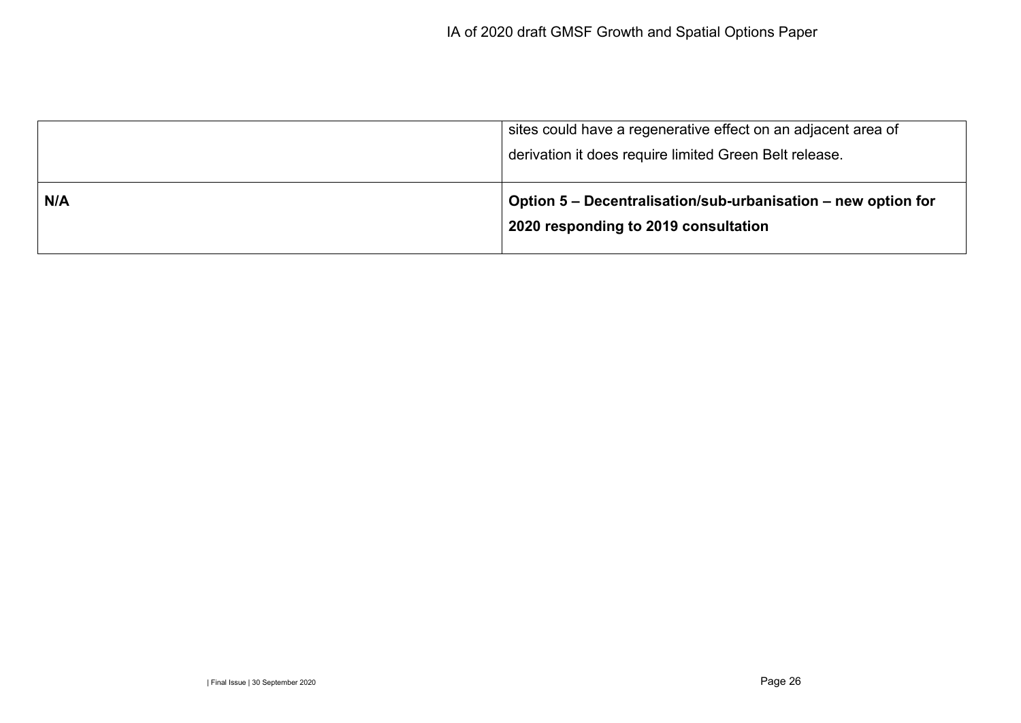|     | sites could have a regenerative effect on an adjacent area of<br>derivation it does require limited Green Belt release. |
|-----|-------------------------------------------------------------------------------------------------------------------------|
| N/A | Option 5 - Decentralisation/sub-urbanisation - new option for<br>2020 responding to 2019 consultation                   |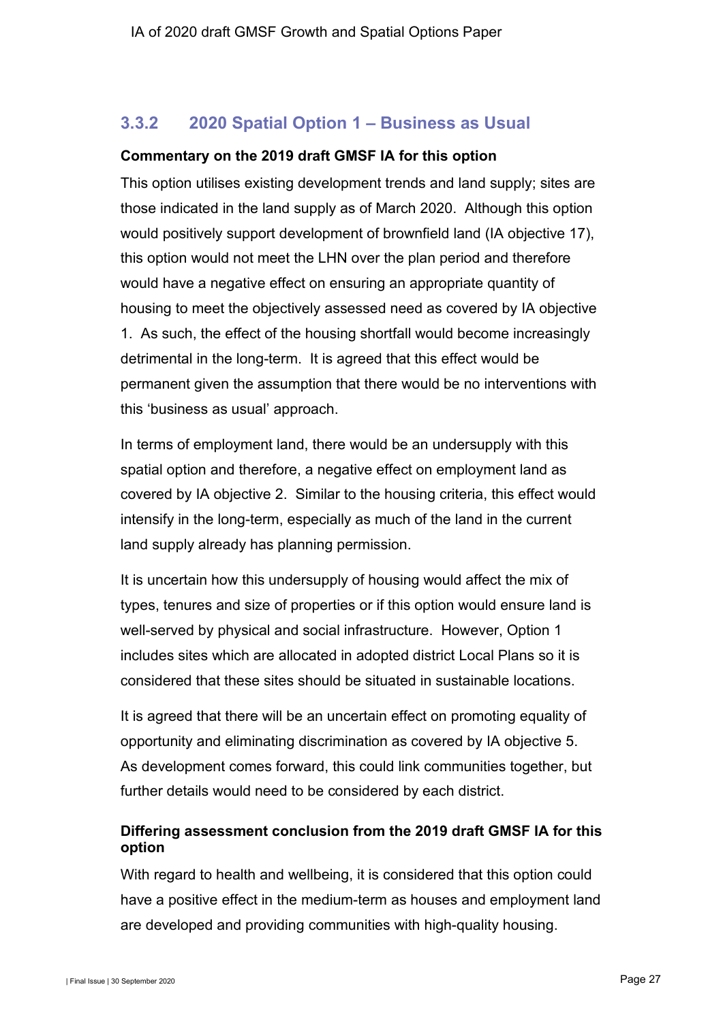## **3.3.2 2020 Spatial Option 1 – Business as Usual**

#### **Commentary on the 2019 draft GMSF IA for this option**

This option utilises existing development trends and land supply; sites are those indicated in the land supply as of March 2020. Although this option would positively support development of brownfield land (IA objective 17), this option would not meet the LHN over the plan period and therefore would have a negative effect on ensuring an appropriate quantity of housing to meet the objectively assessed need as covered by IA objective 1. As such, the effect of the housing shortfall would become increasingly detrimental in the long-term. It is agreed that this effect would be permanent given the assumption that there would be no interventions with this 'business as usual' approach.

In terms of employment land, there would be an undersupply with this spatial option and therefore, a negative effect on employment land as covered by IA objective 2. Similar to the housing criteria, this effect would intensify in the long-term, especially as much of the land in the current land supply already has planning permission.

It is uncertain how this undersupply of housing would affect the mix of types, tenures and size of properties or if this option would ensure land is well-served by physical and social infrastructure. However, Option 1 includes sites which are allocated in adopted district Local Plans so it is considered that these sites should be situated in sustainable locations.

It is agreed that there will be an uncertain effect on promoting equality of opportunity and eliminating discrimination as covered by IA objective 5. As development comes forward, this could link communities together, but further details would need to be considered by each district.

### **Differing assessment conclusion from the 2019 draft GMSF IA for this option**

With regard to health and wellbeing, it is considered that this option could have a positive effect in the medium-term as houses and employment land are developed and providing communities with high-quality housing.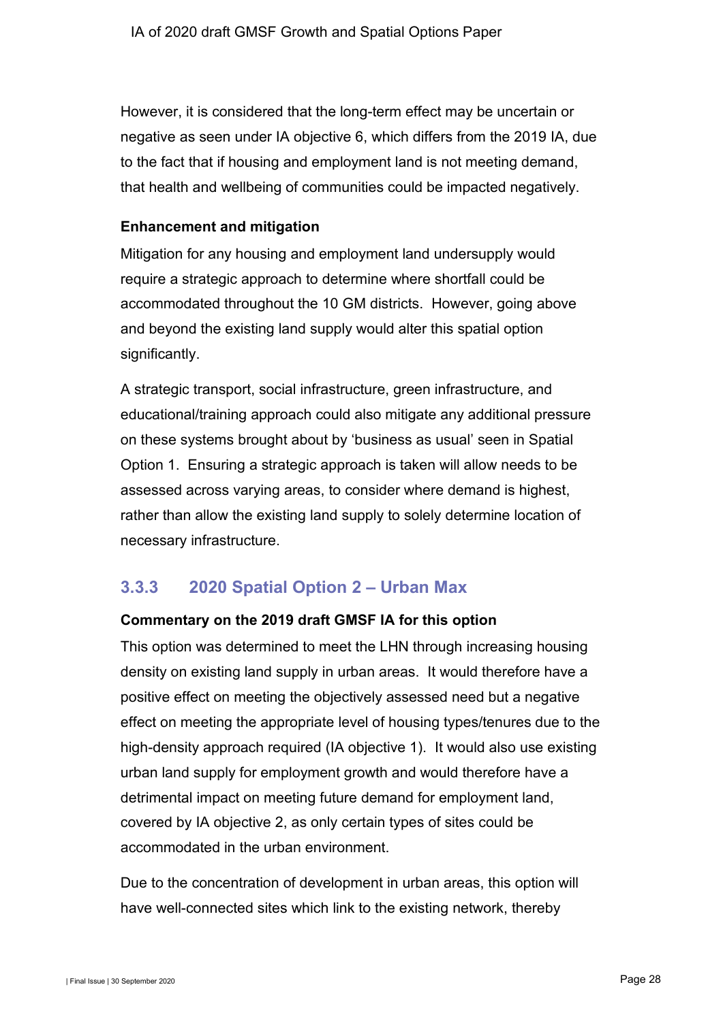However, it is considered that the long-term effect may be uncertain or negative as seen under IA objective 6, which differs from the 2019 IA, due to the fact that if housing and employment land is not meeting demand, that health and wellbeing of communities could be impacted negatively.

#### **Enhancement and mitigation**

Mitigation for any housing and employment land undersupply would require a strategic approach to determine where shortfall could be accommodated throughout the 10 GM districts. However, going above and beyond the existing land supply would alter this spatial option significantly.

A strategic transport, social infrastructure, green infrastructure, and educational/training approach could also mitigate any additional pressure on these systems brought about by 'business as usual' seen in Spatial Option 1. Ensuring a strategic approach is taken will allow needs to be assessed across varying areas, to consider where demand is highest, rather than allow the existing land supply to solely determine location of necessary infrastructure.

## **3.3.3 2020 Spatial Option 2 – Urban Max**

#### **Commentary on the 2019 draft GMSF IA for this option**

This option was determined to meet the LHN through increasing housing density on existing land supply in urban areas. It would therefore have a positive effect on meeting the objectively assessed need but a negative effect on meeting the appropriate level of housing types/tenures due to the high-density approach required (IA objective 1). It would also use existing urban land supply for employment growth and would therefore have a detrimental impact on meeting future demand for employment land, covered by IA objective 2, as only certain types of sites could be accommodated in the urban environment.

Due to the concentration of development in urban areas, this option will have well-connected sites which link to the existing network, thereby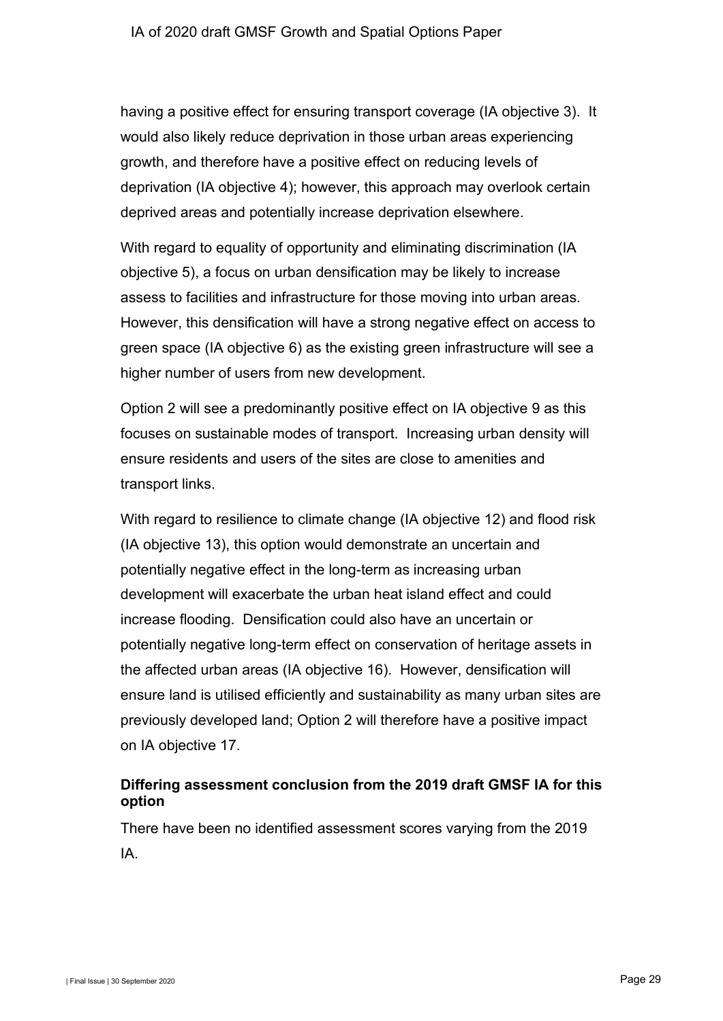having a positive effect for ensuring transport coverage (IA objective 3). It would also likely reduce deprivation in those urban areas experiencing growth, and therefore have a positive effect on reducing levels of deprivation (IA objective 4); however, this approach may overlook certain deprived areas and potentially increase deprivation elsewhere.

With regard to equality of opportunity and eliminating discrimination (IA objective 5), a focus on urban densification may be likely to increase assess to facilities and infrastructure for those moving into urban areas. However, this densification will have a strong negative effect on access to green space (IA objective 6) as the existing green infrastructure will see a higher number of users from new development.

Option 2 will see a predominantly positive effect on IA objective 9 as this focuses on sustainable modes of transport. Increasing urban density will ensure residents and users of the sites are close to amenities and transport links.

With regard to resilience to climate change (IA objective 12) and flood risk (IA objective 13), this option would demonstrate an uncertain and potentially negative effect in the long-term as increasing urban development will exacerbate the urban heat island effect and could increase flooding. Densification could also have an uncertain or potentially negative long-term effect on conservation of heritage assets in the affected urban areas (IA objective 16). However, densification will ensure land is utilised efficiently and sustainability as many urban sites are previously developed land; Option 2 will therefore have a positive impact on IA objective 17.

### **Differing assessment conclusion from the 2019 draft GMSF IA for this option**

There have been no identified assessment scores varying from the 2019 IA.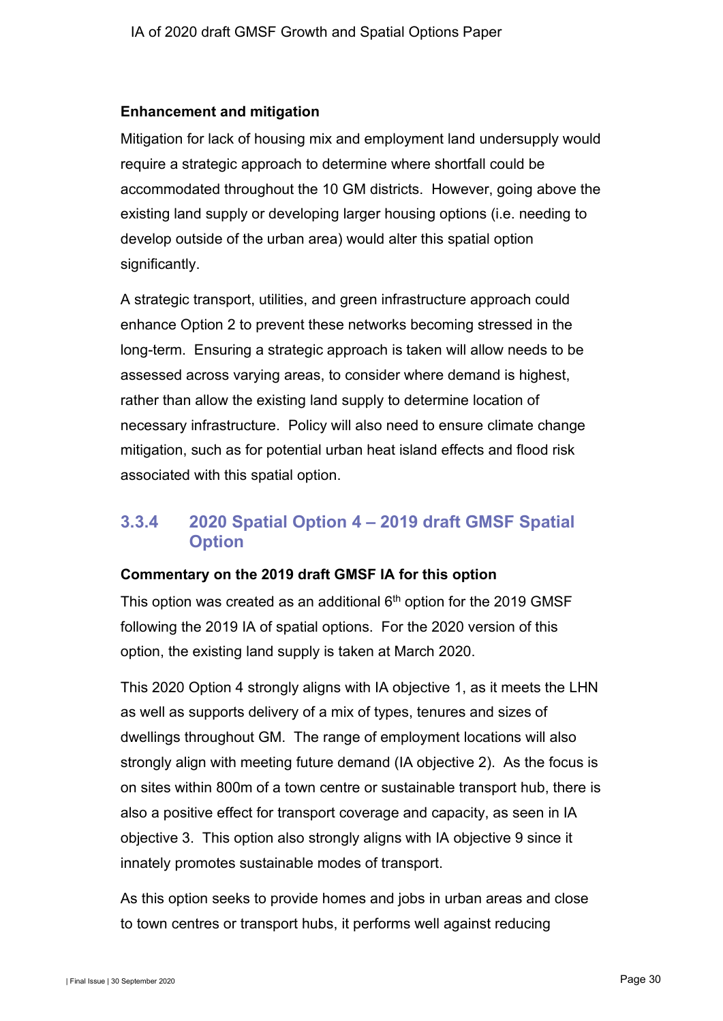#### **Enhancement and mitigation**

Mitigation for lack of housing mix and employment land undersupply would require a strategic approach to determine where shortfall could be accommodated throughout the 10 GM districts. However, going above the existing land supply or developing larger housing options (i.e. needing to develop outside of the urban area) would alter this spatial option significantly.

A strategic transport, utilities, and green infrastructure approach could enhance Option 2 to prevent these networks becoming stressed in the long-term. Ensuring a strategic approach is taken will allow needs to be assessed across varying areas, to consider where demand is highest, rather than allow the existing land supply to determine location of necessary infrastructure. Policy will also need to ensure climate change mitigation, such as for potential urban heat island effects and flood risk associated with this spatial option.

## **3.3.4 2020 Spatial Option 4 – 2019 draft GMSF Spatial Option**

#### **Commentary on the 2019 draft GMSF IA for this option**

This option was created as an additional  $6<sup>th</sup>$  option for the 2019 GMSF following the 2019 IA of spatial options. For the 2020 version of this option, the existing land supply is taken at March 2020.

This 2020 Option 4 strongly aligns with IA objective 1, as it meets the LHN as well as supports delivery of a mix of types, tenures and sizes of dwellings throughout GM. The range of employment locations will also strongly align with meeting future demand (IA objective 2). As the focus is on sites within 800m of a town centre or sustainable transport hub, there is also a positive effect for transport coverage and capacity, as seen in IA objective 3. This option also strongly aligns with IA objective 9 since it innately promotes sustainable modes of transport.

As this option seeks to provide homes and jobs in urban areas and close to town centres or transport hubs, it performs well against reducing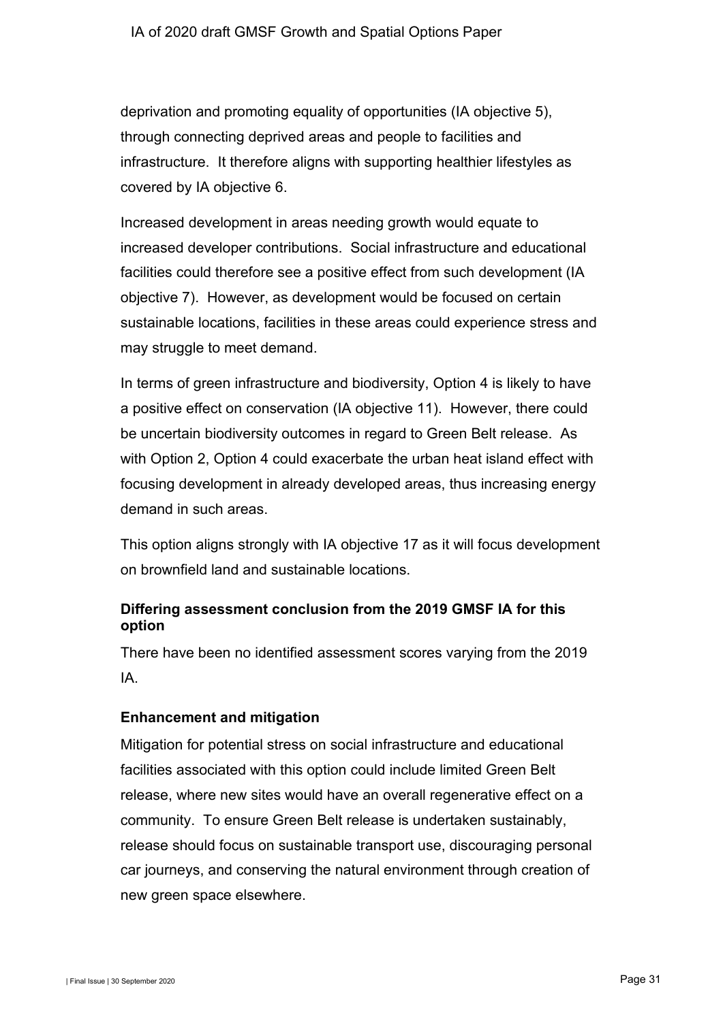deprivation and promoting equality of opportunities (IA objective 5), through connecting deprived areas and people to facilities and infrastructure. It therefore aligns with supporting healthier lifestyles as covered by IA objective 6.

Increased development in areas needing growth would equate to increased developer contributions. Social infrastructure and educational facilities could therefore see a positive effect from such development (IA objective 7). However, as development would be focused on certain sustainable locations, facilities in these areas could experience stress and may struggle to meet demand.

In terms of green infrastructure and biodiversity, Option 4 is likely to have a positive effect on conservation (IA objective 11). However, there could be uncertain biodiversity outcomes in regard to Green Belt release. As with Option 2, Option 4 could exacerbate the urban heat island effect with focusing development in already developed areas, thus increasing energy demand in such areas.

This option aligns strongly with IA objective 17 as it will focus development on brownfield land and sustainable locations.

### **Differing assessment conclusion from the 2019 GMSF IA for this option**

There have been no identified assessment scores varying from the 2019 IA.

### **Enhancement and mitigation**

Mitigation for potential stress on social infrastructure and educational facilities associated with this option could include limited Green Belt release, where new sites would have an overall regenerative effect on a community. To ensure Green Belt release is undertaken sustainably, release should focus on sustainable transport use, discouraging personal car journeys, and conserving the natural environment through creation of new green space elsewhere.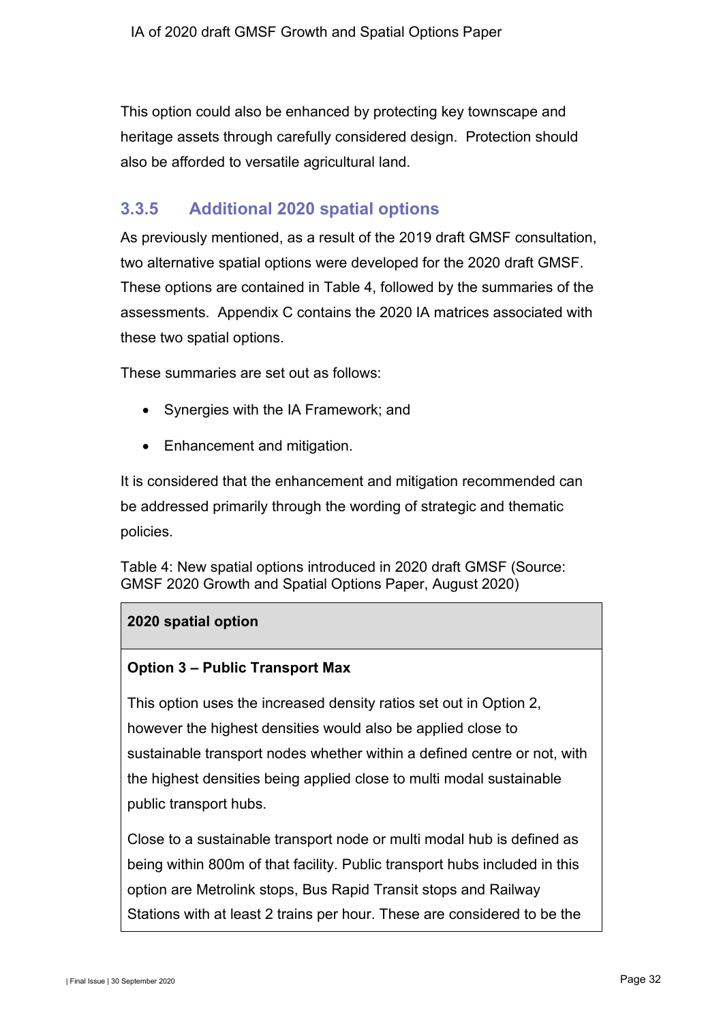This option could also be enhanced by protecting key townscape and heritage assets through carefully considered design. Protection should also be afforded to versatile agricultural land.

## <span id="page-33-0"></span>**3.3.5 Additional 2020 spatial options**

As previously mentioned, as a result of the 2019 draft GMSF consultation, two alternative spatial options were developed for the 2020 draft GMSF. These options are contained in [Table 4,](#page-33-1) followed by the summaries of the assessments. Appendix C contains the 2020 IA matrices associated with these two spatial options.

These summaries are set out as follows:

- Synergies with the IA Framework; and
- Enhancement and mitigation.

It is considered that the enhancement and mitigation recommended can be addressed primarily through the wording of strategic and thematic policies.

<span id="page-33-1"></span>Table 4: New spatial options introduced in 2020 draft GMSF (Source: GMSF 2020 Growth and Spatial Options Paper, August 2020)

#### **2020 spatial option**

#### **Option 3 – Public Transport Max**

This option uses the increased density ratios set out in Option 2, however the highest densities would also be applied close to sustainable transport nodes whether within a defined centre or not, with the highest densities being applied close to multi modal sustainable public transport hubs.

Close to a sustainable transport node or multi modal hub is defined as being within 800m of that facility. Public transport hubs included in this option are Metrolink stops, Bus Rapid Transit stops and Railway Stations with at least 2 trains per hour. These are considered to be the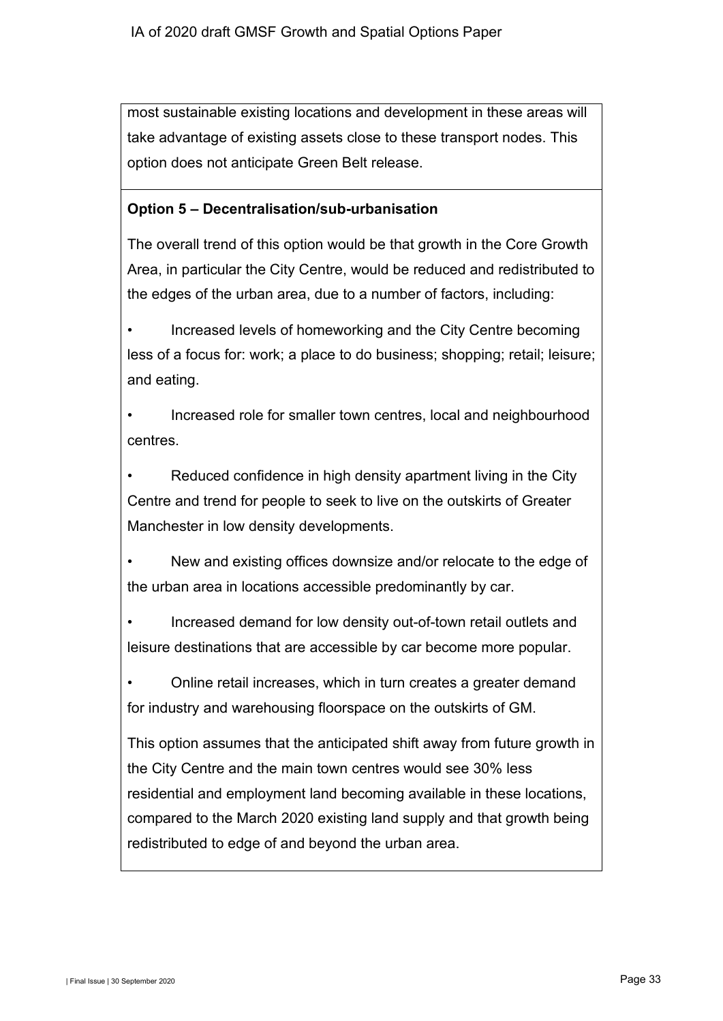most sustainable existing locations and development in these areas will take advantage of existing assets close to these transport nodes. This option does not anticipate Green Belt release.

#### **Option 5 – Decentralisation/sub-urbanisation**

The overall trend of this option would be that growth in the Core Growth Area, in particular the City Centre, would be reduced and redistributed to the edges of the urban area, due to a number of factors, including:

Increased levels of homeworking and the City Centre becoming less of a focus for: work; a place to do business; shopping; retail; leisure; and eating.

• Increased role for smaller town centres, local and neighbourhood centres.

Reduced confidence in high density apartment living in the City Centre and trend for people to seek to live on the outskirts of Greater Manchester in low density developments.

• New and existing offices downsize and/or relocate to the edge of the urban area in locations accessible predominantly by car.

• Increased demand for low density out-of-town retail outlets and leisure destinations that are accessible by car become more popular.

• Online retail increases, which in turn creates a greater demand for industry and warehousing floorspace on the outskirts of GM.

This option assumes that the anticipated shift away from future growth in the City Centre and the main town centres would see 30% less residential and employment land becoming available in these locations, compared to the March 2020 existing land supply and that growth being redistributed to edge of and beyond the urban area.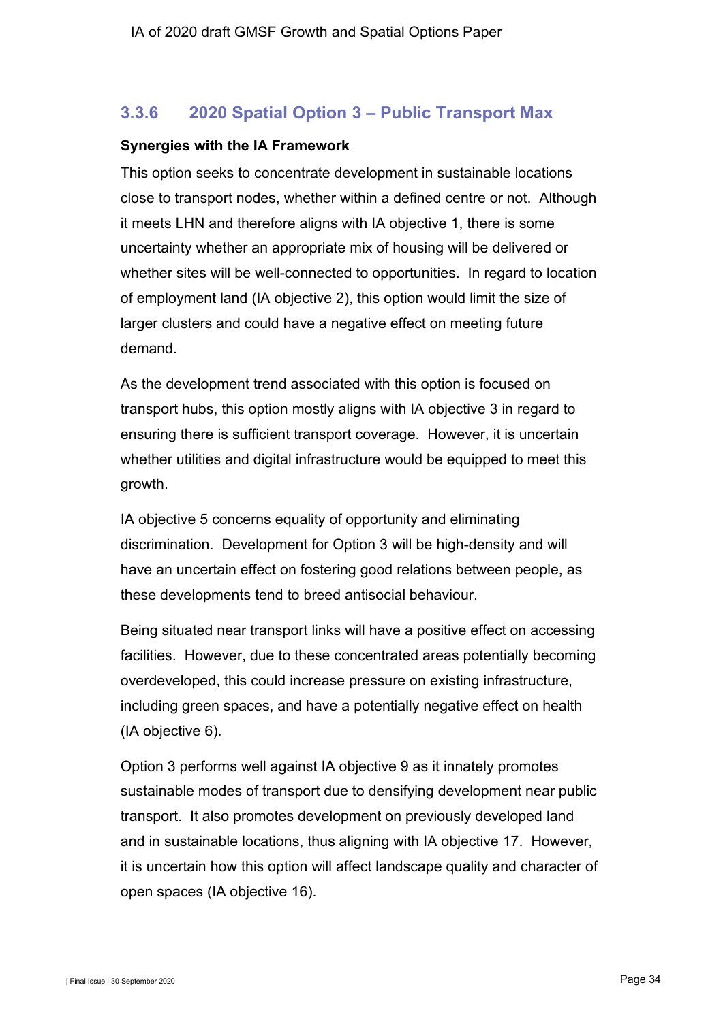## **3.3.6 2020 Spatial Option 3 – Public Transport Max**

#### **Synergies with the IA Framework**

This option seeks to concentrate development in sustainable locations close to transport nodes, whether within a defined centre or not. Although it meets LHN and therefore aligns with IA objective 1, there is some uncertainty whether an appropriate mix of housing will be delivered or whether sites will be well-connected to opportunities. In regard to location of employment land (IA objective 2), this option would limit the size of larger clusters and could have a negative effect on meeting future demand.

As the development trend associated with this option is focused on transport hubs, this option mostly aligns with IA objective 3 in regard to ensuring there is sufficient transport coverage. However, it is uncertain whether utilities and digital infrastructure would be equipped to meet this growth.

IA objective 5 concerns equality of opportunity and eliminating discrimination. Development for Option 3 will be high-density and will have an uncertain effect on fostering good relations between people, as these developments tend to breed antisocial behaviour.

Being situated near transport links will have a positive effect on accessing facilities. However, due to these concentrated areas potentially becoming overdeveloped, this could increase pressure on existing infrastructure, including green spaces, and have a potentially negative effect on health (IA objective 6).

Option 3 performs well against IA objective 9 as it innately promotes sustainable modes of transport due to densifying development near public transport. It also promotes development on previously developed land and in sustainable locations, thus aligning with IA objective 17. However, it is uncertain how this option will affect landscape quality and character of open spaces (IA objective 16).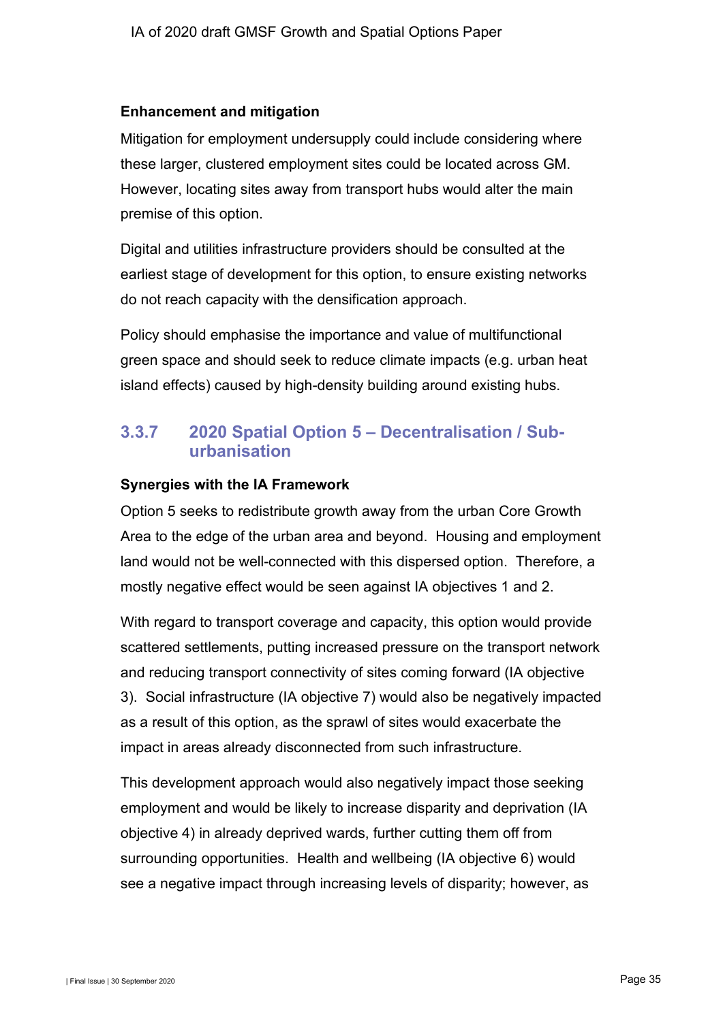#### **Enhancement and mitigation**

Mitigation for employment undersupply could include considering where these larger, clustered employment sites could be located across GM. However, locating sites away from transport hubs would alter the main premise of this option.

Digital and utilities infrastructure providers should be consulted at the earliest stage of development for this option, to ensure existing networks do not reach capacity with the densification approach.

Policy should emphasise the importance and value of multifunctional green space and should seek to reduce climate impacts (e.g. urban heat island effects) caused by high-density building around existing hubs.

## **3.3.7 2020 Spatial Option 5 – Decentralisation / Suburbanisation**

#### **Synergies with the IA Framework**

Option 5 seeks to redistribute growth away from the urban Core Growth Area to the edge of the urban area and beyond. Housing and employment land would not be well-connected with this dispersed option. Therefore, a mostly negative effect would be seen against IA objectives 1 and 2.

With regard to transport coverage and capacity, this option would provide scattered settlements, putting increased pressure on the transport network and reducing transport connectivity of sites coming forward (IA objective 3). Social infrastructure (IA objective 7) would also be negatively impacted as a result of this option, as the sprawl of sites would exacerbate the impact in areas already disconnected from such infrastructure.

This development approach would also negatively impact those seeking employment and would be likely to increase disparity and deprivation (IA objective 4) in already deprived wards, further cutting them off from surrounding opportunities. Health and wellbeing (IA objective 6) would see a negative impact through increasing levels of disparity; however, as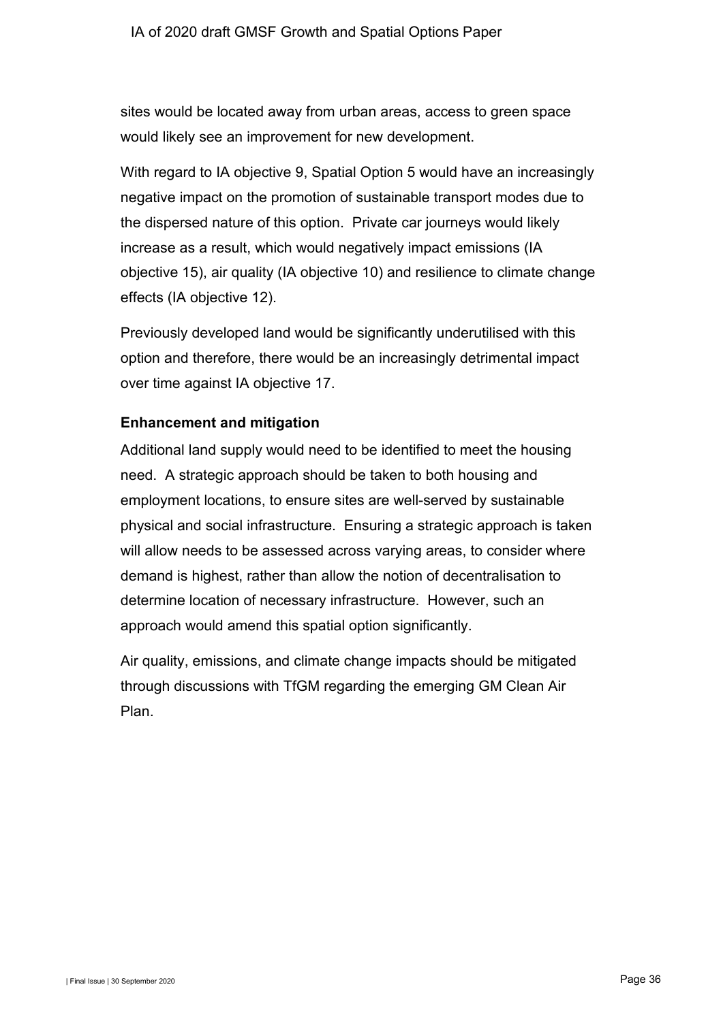sites would be located away from urban areas, access to green space would likely see an improvement for new development.

With regard to IA objective 9, Spatial Option 5 would have an increasingly negative impact on the promotion of sustainable transport modes due to the dispersed nature of this option. Private car journeys would likely increase as a result, which would negatively impact emissions (IA objective 15), air quality (IA objective 10) and resilience to climate change effects (IA objective 12).

Previously developed land would be significantly underutilised with this option and therefore, there would be an increasingly detrimental impact over time against IA objective 17.

### **Enhancement and mitigation**

Additional land supply would need to be identified to meet the housing need. A strategic approach should be taken to both housing and employment locations, to ensure sites are well-served by sustainable physical and social infrastructure. Ensuring a strategic approach is taken will allow needs to be assessed across varying areas, to consider where demand is highest, rather than allow the notion of decentralisation to determine location of necessary infrastructure. However, such an approach would amend this spatial option significantly.

Air quality, emissions, and climate change impacts should be mitigated through discussions with TfGM regarding the emerging GM Clean Air Plan.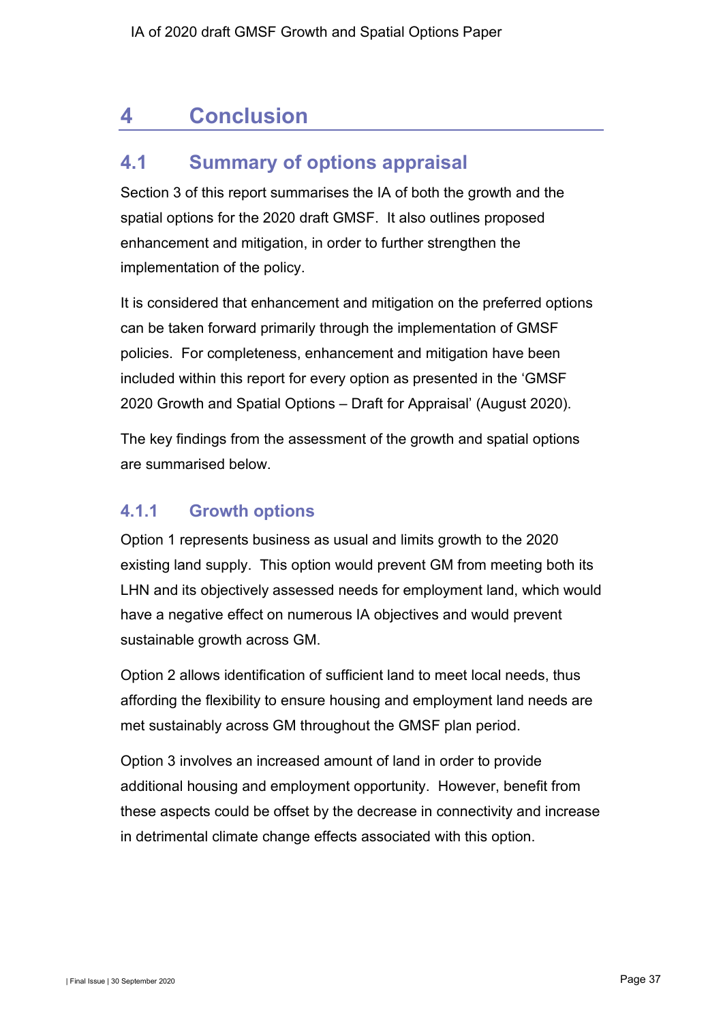# <span id="page-38-0"></span>**4 Conclusion**

# <span id="page-38-1"></span>**4.1 Summary of options appraisal**

Section 3 of this report summarises the IA of both the growth and the spatial options for the 2020 draft GMSF. It also outlines proposed enhancement and mitigation, in order to further strengthen the implementation of the policy.

It is considered that enhancement and mitigation on the preferred options can be taken forward primarily through the implementation of GMSF policies. For completeness, enhancement and mitigation have been included within this report for every option as presented in the 'GMSF 2020 Growth and Spatial Options – Draft for Appraisal' (August 2020).

The key findings from the assessment of the growth and spatial options are summarised below.

## **4.1.1 Growth options**

Option 1 represents business as usual and limits growth to the 2020 existing land supply. This option would prevent GM from meeting both its LHN and its objectively assessed needs for employment land, which would have a negative effect on numerous IA objectives and would prevent sustainable growth across GM.

Option 2 allows identification of sufficient land to meet local needs, thus affording the flexibility to ensure housing and employment land needs are met sustainably across GM throughout the GMSF plan period.

Option 3 involves an increased amount of land in order to provide additional housing and employment opportunity. However, benefit from these aspects could be offset by the decrease in connectivity and increase in detrimental climate change effects associated with this option.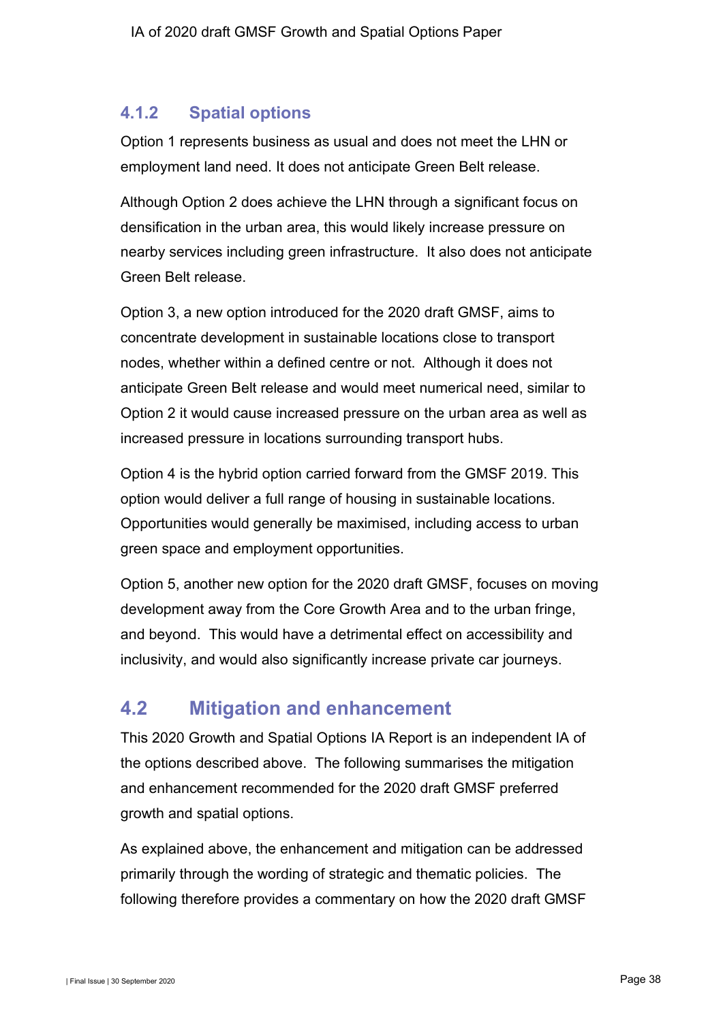## **4.1.2 Spatial options**

Option 1 represents business as usual and does not meet the LHN or employment land need. It does not anticipate Green Belt release.

Although Option 2 does achieve the LHN through a significant focus on densification in the urban area, this would likely increase pressure on nearby services including green infrastructure. It also does not anticipate Green Belt release.

Option 3, a new option introduced for the 2020 draft GMSF, aims to concentrate development in sustainable locations close to transport nodes, whether within a defined centre or not. Although it does not anticipate Green Belt release and would meet numerical need, similar to Option 2 it would cause increased pressure on the urban area as well as increased pressure in locations surrounding transport hubs.

Option 4 is the hybrid option carried forward from the GMSF 2019. This option would deliver a full range of housing in sustainable locations. Opportunities would generally be maximised, including access to urban green space and employment opportunities.

Option 5, another new option for the 2020 draft GMSF, focuses on moving development away from the Core Growth Area and to the urban fringe, and beyond. This would have a detrimental effect on accessibility and inclusivity, and would also significantly increase private car journeys.

# <span id="page-39-0"></span>**4.2 Mitigation and enhancement**

This 2020 Growth and Spatial Options IA Report is an independent IA of the options described above. The following summarises the mitigation and enhancement recommended for the 2020 draft GMSF preferred growth and spatial options.

As explained above, the enhancement and mitigation can be addressed primarily through the wording of strategic and thematic policies. The following therefore provides a commentary on how the 2020 draft GMSF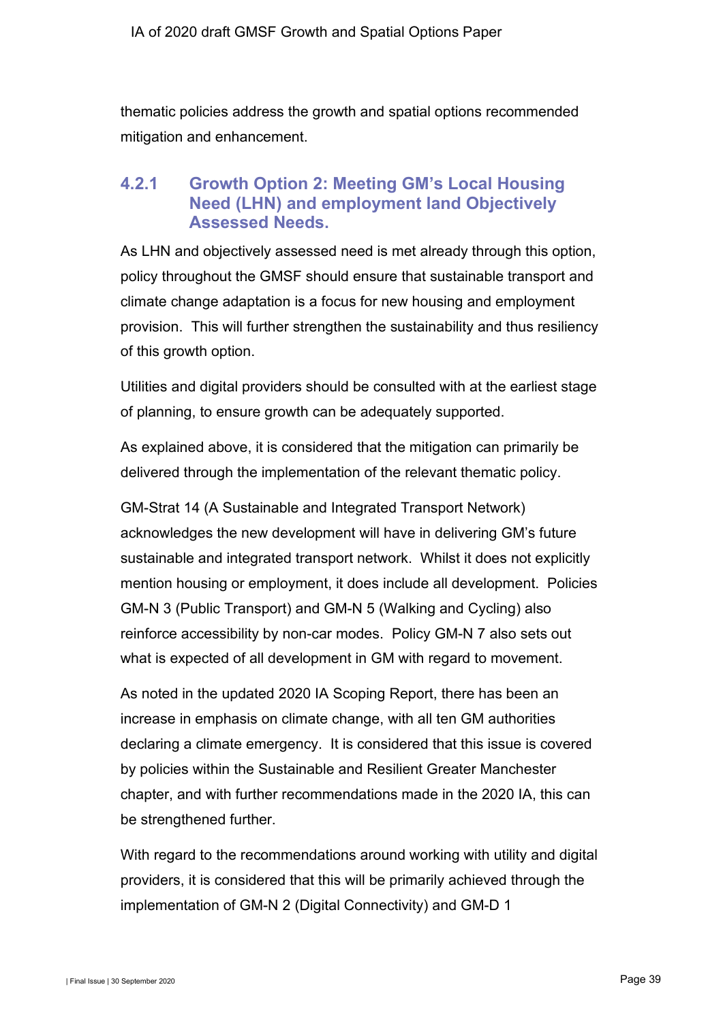thematic policies address the growth and spatial options recommended mitigation and enhancement.

## **4.2.1 Growth Option 2: Meeting GM's Local Housing Need (LHN) and employment land Objectively Assessed Needs.**

As LHN and objectively assessed need is met already through this option, policy throughout the GMSF should ensure that sustainable transport and climate change adaptation is a focus for new housing and employment provision. This will further strengthen the sustainability and thus resiliency of this growth option.

Utilities and digital providers should be consulted with at the earliest stage of planning, to ensure growth can be adequately supported.

As explained above, it is considered that the mitigation can primarily be delivered through the implementation of the relevant thematic policy.

GM-Strat 14 (A Sustainable and Integrated Transport Network) acknowledges the new development will have in delivering GM's future sustainable and integrated transport network. Whilst it does not explicitly mention housing or employment, it does include all development. Policies GM-N 3 (Public Transport) and GM-N 5 (Walking and Cycling) also reinforce accessibility by non-car modes. Policy GM-N 7 also sets out what is expected of all development in GM with regard to movement.

As noted in the updated 2020 IA Scoping Report, there has been an increase in emphasis on climate change, with all ten GM authorities declaring a climate emergency. It is considered that this issue is covered by policies within the Sustainable and Resilient Greater Manchester chapter, and with further recommendations made in the 2020 IA, this can be strengthened further.

With regard to the recommendations around working with utility and digital providers, it is considered that this will be primarily achieved through the implementation of GM-N 2 (Digital Connectivity) and GM-D 1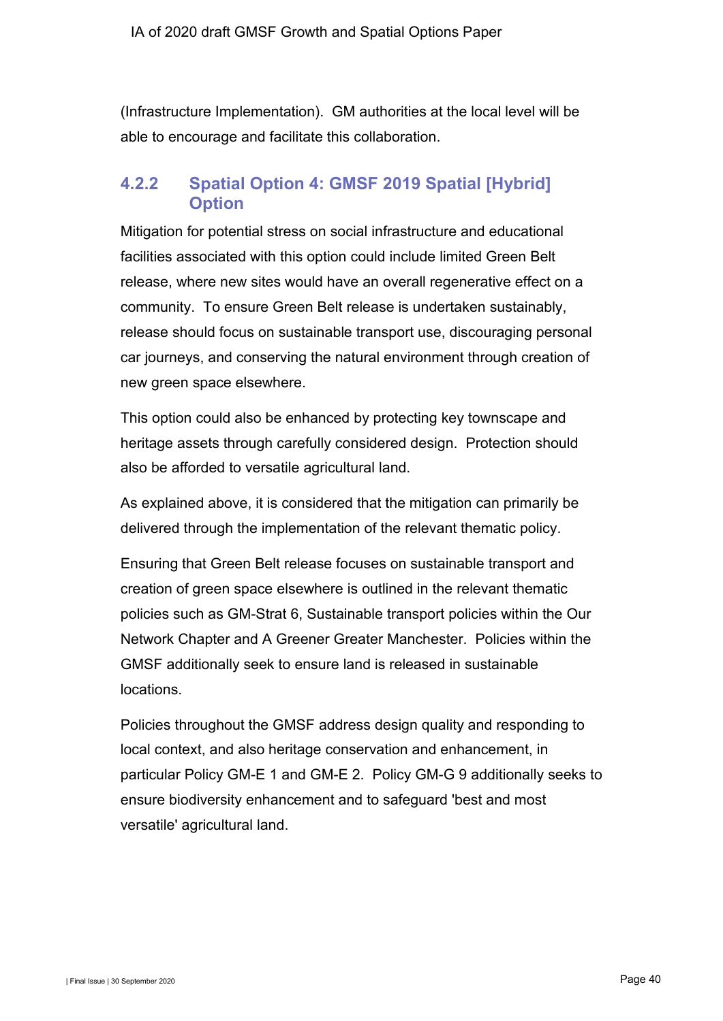(Infrastructure Implementation). GM authorities at the local level will be able to encourage and facilitate this collaboration.

## **4.2.2 Spatial Option 4: GMSF 2019 Spatial [Hybrid] Option**

Mitigation for potential stress on social infrastructure and educational facilities associated with this option could include limited Green Belt release, where new sites would have an overall regenerative effect on a community. To ensure Green Belt release is undertaken sustainably, release should focus on sustainable transport use, discouraging personal car journeys, and conserving the natural environment through creation of new green space elsewhere.

This option could also be enhanced by protecting key townscape and heritage assets through carefully considered design. Protection should also be afforded to versatile agricultural land.

As explained above, it is considered that the mitigation can primarily be delivered through the implementation of the relevant thematic policy.

Ensuring that Green Belt release focuses on sustainable transport and creation of green space elsewhere is outlined in the relevant thematic policies such as GM-Strat 6, Sustainable transport policies within the Our Network Chapter and A Greener Greater Manchester. Policies within the GMSF additionally seek to ensure land is released in sustainable locations.

Policies throughout the GMSF address design quality and responding to local context, and also heritage conservation and enhancement, in particular Policy GM-E 1 and GM-E 2. Policy GM-G 9 additionally seeks to ensure biodiversity enhancement and to safeguard 'best and most versatile' agricultural land.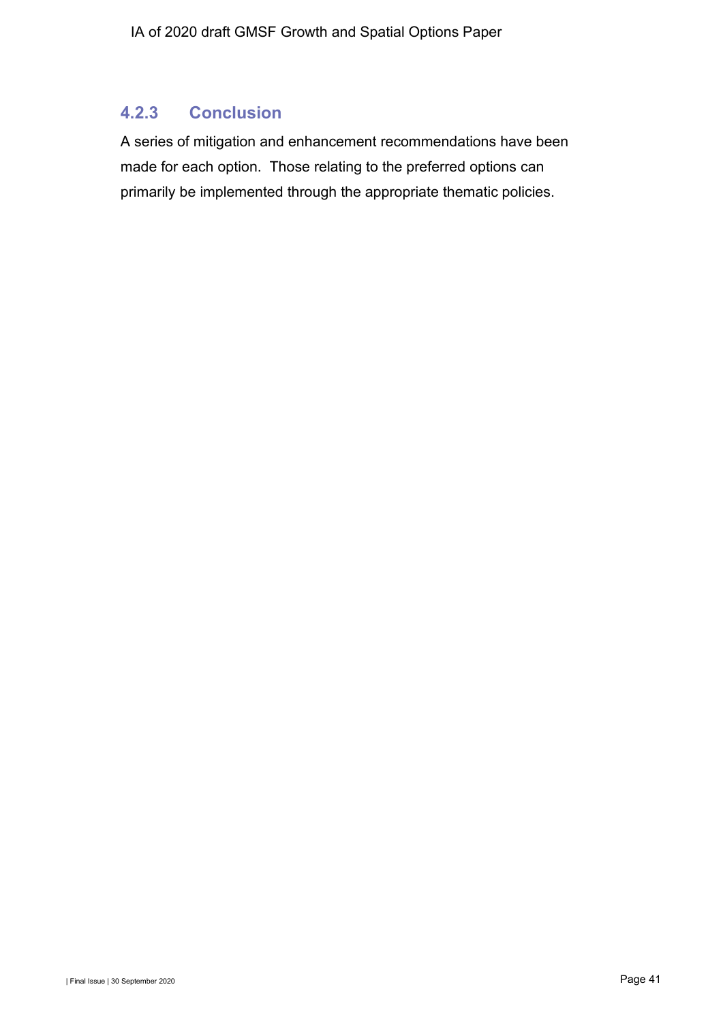## **4.2.3 Conclusion**

A series of mitigation and enhancement recommendations have been made for each option. Those relating to the preferred options can primarily be implemented through the appropriate thematic policies.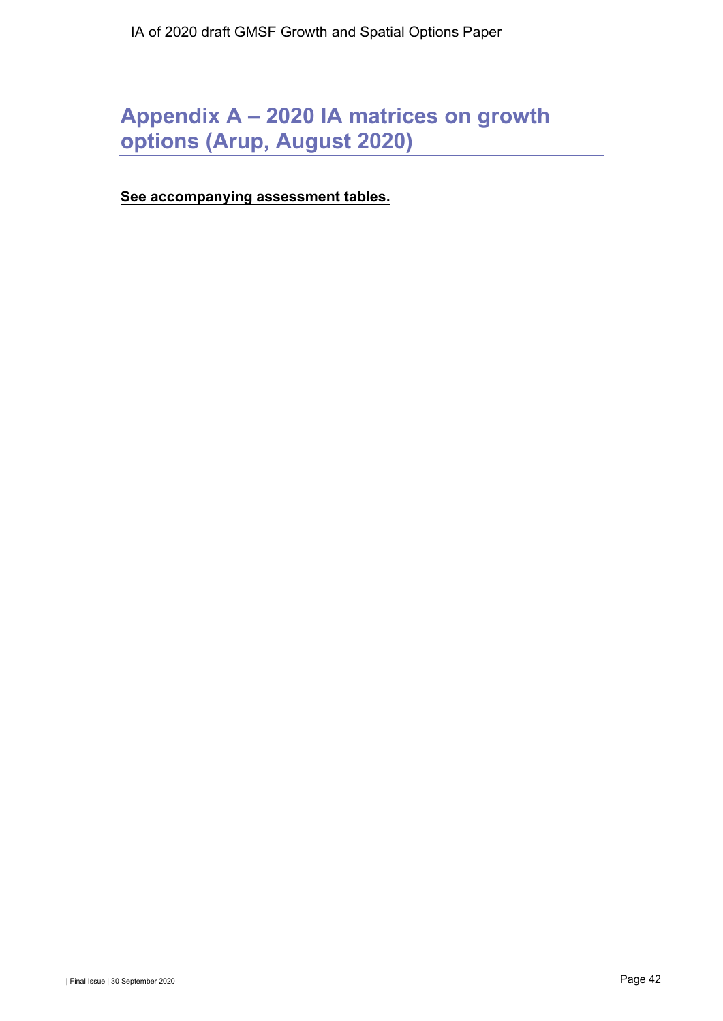# **Appendix A – 2020 IA matrices on growth options (Arup, August 2020)**

**See accompanying assessment tables.**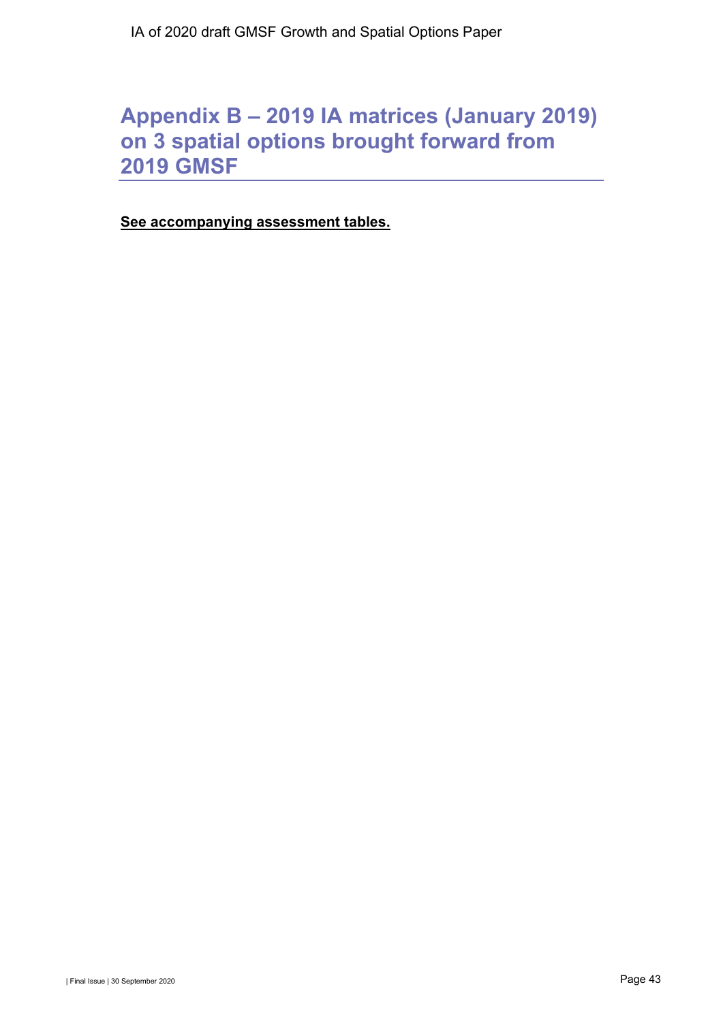# **Appendix B – 2019 IA matrices (January 2019) on 3 spatial options brought forward from 2019 GMSF**

**See accompanying assessment tables.**